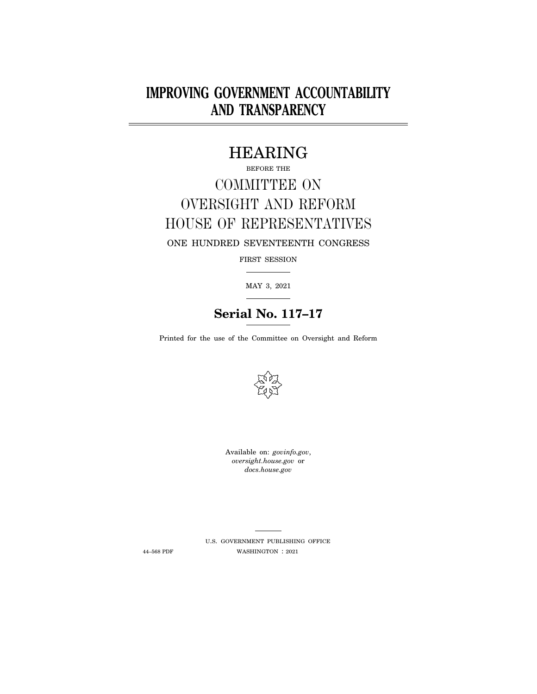## **IMPROVING GOVERNMENT ACCOUNTABILITY AND TRANSPARENCY**

## HEARING

# BEFORE THE COMMITTEE ON OVERSIGHT AND REFORM HOUSE OF REPRESENTATIVES

ONE HUNDRED SEVENTEENTH CONGRESS

FIRST SESSION

MAY 3, 2021

### **Serial No. 117–17**

Printed for the use of the Committee on Oversight and Reform



Available on: *govinfo.gov*, *oversight.house.gov* or *docs.house.gov* 

U.S. GOVERNMENT PUBLISHING OFFICE 44–568 PDF WASHINGTON : 2021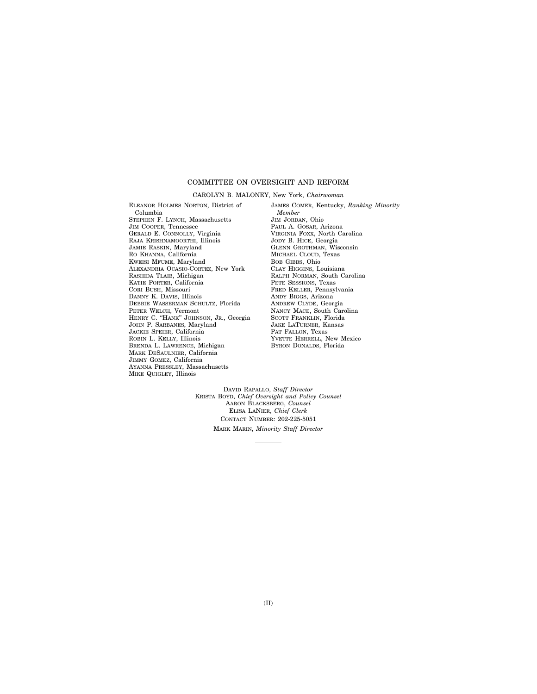#### COMMITTEE ON OVERSIGHT AND REFORM

#### CAROLYN B. MALONEY, New York, *Chairwoman*

ELEANOR HOLMES NORTON, District of Columbia STEPHEN F. LYNCH, Massachusetts JIM COOPER, Tennessee GERALD E. CONNOLLY, Virginia RAJA KRISHNAMOORTHI, Illinois JAMIE RASKIN, Maryland RO KHANNA, California KWEISI MFUME, Maryland ALEXANDRIA OCASIO-CORTEZ, New York RASHIDA TLAIB, Michigan KATIE PORTER, California CORI BUSH, Missouri DANNY K. DAVIS, Illinois DEBBIE WASSERMAN SCHULTZ, Florida PETER WELCH, Vermont HENRY C. ''HANK'' JOHNSON, JR., Georgia JOHN P. SARBANES, Maryland JACKIE SPEIER, California ROBIN L. KELLY, Illinois BRENDA L. LAWRENCE, Michigan MARK DESAULNIER, California JIMMY GOMEZ, California AYANNA PRESSLEY, Massachusetts MIKE QUIGLEY, Illinois

JAMES COMER, Kentucky, *Ranking Minority Member*  JIM JORDAN, Ohio PAUL A. GOSAR, Arizona VIRGINIA FOXX, North Carolina JODY B. HICE, Georgia GLENN GROTHMAN, Wisconsin MICHAEL CLOUD, Texas BOB GIBBS, Ohio CLAY HIGGINS, Louisiana RALPH NORMAN, South Carolina PETE SESSIONS, Texas FRED KELLER, Pennsylvania ANDY BIGGS, Arizona ANDREW CLYDE, Georgia NANCY MACE, South Carolina SCOTT FRANKLIN, Florida JAKE LATURNER, Kansas PAT FALLON, Texas YVETTE HERRELL, New Mexico BYRON DONALDS, Florida

DAVID RAPALLO, *Staff Director*  KRISTA BOYD, *Chief Oversight and Policy Counsel*  AARON BLACKSBERG, *Counsel*  ELISA LANIER, *Chief Clerk*  CONTACT NUMBER: 202-225-5051 MARK MARIN, *Minority Staff Director*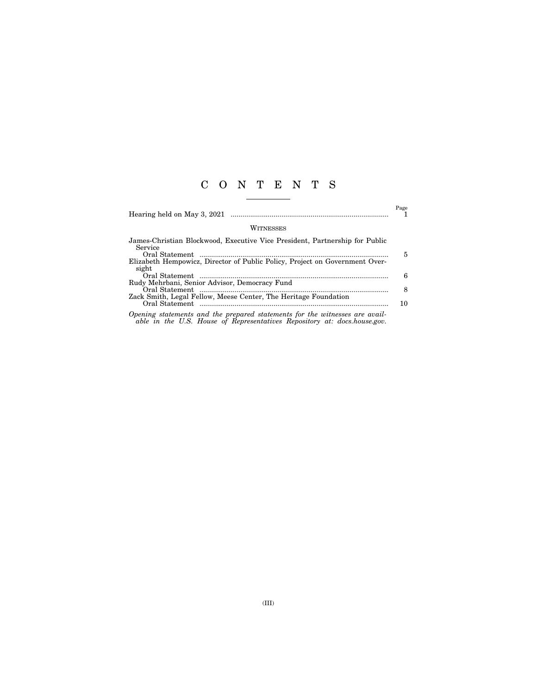### C O N T E N T S

|                                                                                        | Page |
|----------------------------------------------------------------------------------------|------|
| WITNESSES                                                                              |      |
| James-Christian Blockwood, Executive Vice President, Partnership for Public<br>Service |      |
| Elizabeth Hempowicz, Director of Public Policy, Project on Government Over-            | 5    |
| sight                                                                                  | 6    |
| Rudy Mehrbani, Senior Advisor, Democracy Fund                                          | 8    |
| Zack Smith, Legal Fellow, Meese Center, The Heritage Foundation                        | 10   |
| Opening statements and the prepared statements for the witnesses are avail-            |      |

*able in the U.S. House of Representatives Repository at: docs.house.gov.*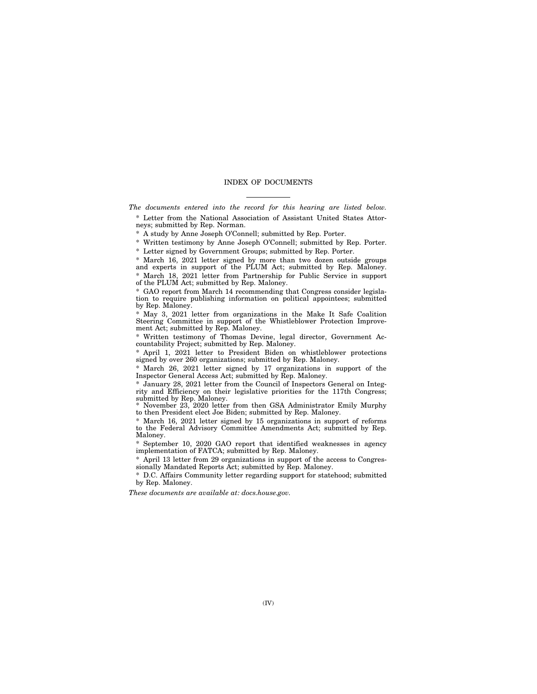#### INDEX OF DOCUMENTS

*The documents entered into the record for this hearing are listed below.*  \* Letter from the National Association of Assistant United States Attorneys; submitted by Rep. Norman.

\* A study by Anne Joseph O'Connell; submitted by Rep. Porter.

\* Written testimony by Anne Joseph O'Connell; submitted by Rep. Porter.

\* Letter signed by Government Groups; submitted by Rep. Porter.

\* March 16, 2021 letter signed by more than two dozen outside groups and experts in support of the PLUM Act; submitted by Rep. Maloney. \* March 18, 2021 letter from Partnership for Public Service in support of the PLUM Act; submitted by Rep. Maloney.

\* GAO report from March 14 recommending that Congress consider legislation to require publishing information on political appointees; submitted by Rep. Maloney.

\* May 3, 2021 letter from organizations in the Make It Safe Coalition Steering Committee in support of the Whistleblower Protection Improvement Act; submitted by Rep. Maloney.

\* Written testimony of Thomas Devine, legal director, Government Accountability Project; submitted by Rep. Maloney.

\* April 1, 2021 letter to President Biden on whistleblower protections signed by over 260 organizations; submitted by Rep. Maloney.

\* March 26, 2021 letter signed by 17 organizations in support of the Inspector General Access Act; submitted by Rep. Maloney.

\* January 28, 2021 letter from the Council of Inspectors General on Integrity and Efficiency on their legislative priorities for the 117th Congress; submitted by Rep. Maloney.

\* November 23, 2020 letter from then GSA Administrator Emily Murphy to then President elect Joe Biden; submitted by Rep. Maloney.

\* March 16, 2021 letter signed by 15 organizations in support of reforms to the Federal Advisory Committee Amendments Act; submitted by Rep. Maloney.

\* September 10, 2020 GAO report that identified weaknesses in agency implementation of FATCA; submitted by Rep. Maloney.

\* April 13 letter from 29 organizations in support of the access to Congressionally Mandated Reports Act; submitted by Rep. Maloney.

\* D.C. Affairs Community letter regarding support for statehood; submitted by Rep. Maloney.

*These documents are available at: docs.house.gov.*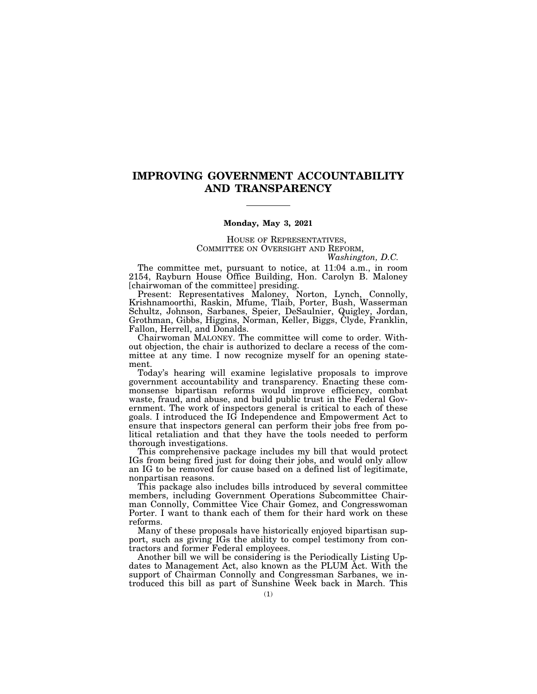### **IMPROVING GOVERNMENT ACCOUNTABILITY AND TRANSPARENCY**

#### **Monday, May 3, 2021**

HOUSE OF REPRESENTATIVES, COMMITTEE ON OVERSIGHT AND REFORM, *Washington, D.C.* 

The committee met, pursuant to notice, at 11:04 a.m., in room 2154, Rayburn House Office Building, Hon. Carolyn B. Maloney [chairwoman of the committee] presiding.

Present: Representatives Maloney, Norton, Lynch, Connolly, Krishnamoorthi, Raskin, Mfume, Tlaib, Porter, Bush, Wasserman Schultz, Johnson, Sarbanes, Speier, DeSaulnier, Quigley, Jordan, Grothman, Gibbs, Higgins, Norman, Keller, Biggs, Clyde, Franklin, Fallon, Herrell, and Donalds.

Chairwoman MALONEY. The committee will come to order. Without objection, the chair is authorized to declare a recess of the committee at any time. I now recognize myself for an opening statement.

Today's hearing will examine legislative proposals to improve government accountability and transparency. Enacting these commonsense bipartisan reforms would improve efficiency, combat waste, fraud, and abuse, and build public trust in the Federal Government. The work of inspectors general is critical to each of these goals. I introduced the IG Independence and Empowerment Act to ensure that inspectors general can perform their jobs free from political retaliation and that they have the tools needed to perform thorough investigations.

This comprehensive package includes my bill that would protect IGs from being fired just for doing their jobs, and would only allow an IG to be removed for cause based on a defined list of legitimate, nonpartisan reasons.

This package also includes bills introduced by several committee members, including Government Operations Subcommittee Chairman Connolly, Committee Vice Chair Gomez, and Congresswoman Porter. I want to thank each of them for their hard work on these reforms.

Many of these proposals have historically enjoyed bipartisan support, such as giving IGs the ability to compel testimony from contractors and former Federal employees.

Another bill we will be considering is the Periodically Listing Updates to Management Act, also known as the PLUM Act. With the support of Chairman Connolly and Congressman Sarbanes, we introduced this bill as part of Sunshine Week back in March. This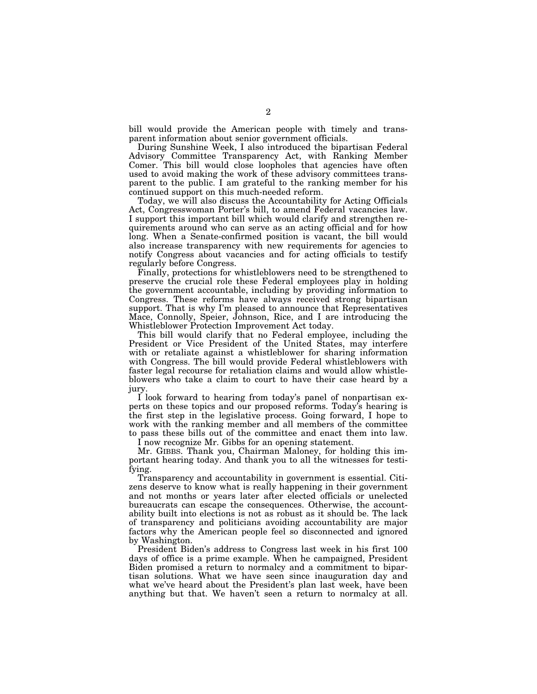bill would provide the American people with timely and transparent information about senior government officials.

During Sunshine Week, I also introduced the bipartisan Federal Advisory Committee Transparency Act, with Ranking Member Comer. This bill would close loopholes that agencies have often used to avoid making the work of these advisory committees transparent to the public. I am grateful to the ranking member for his continued support on this much-needed reform.

Today, we will also discuss the Accountability for Acting Officials Act, Congresswoman Porter's bill, to amend Federal vacancies law. I support this important bill which would clarify and strengthen requirements around who can serve as an acting official and for how long. When a Senate-confirmed position is vacant, the bill would also increase transparency with new requirements for agencies to notify Congress about vacancies and for acting officials to testify regularly before Congress.

Finally, protections for whistleblowers need to be strengthened to preserve the crucial role these Federal employees play in holding the government accountable, including by providing information to Congress. These reforms have always received strong bipartisan support. That is why I'm pleased to announce that Representatives Mace, Connolly, Speier, Johnson, Rice, and I are introducing the Whistleblower Protection Improvement Act today.

This bill would clarify that no Federal employee, including the President or Vice President of the United States, may interfere with or retaliate against a whistleblower for sharing information with Congress. The bill would provide Federal whistleblowers with faster legal recourse for retaliation claims and would allow whistleblowers who take a claim to court to have their case heard by a jury.

I look forward to hearing from today's panel of nonpartisan experts on these topics and our proposed reforms. Today's hearing is the first step in the legislative process. Going forward, I hope to work with the ranking member and all members of the committee to pass these bills out of the committee and enact them into law.

I now recognize Mr. Gibbs for an opening statement.

Mr. GIBBS. Thank you, Chairman Maloney, for holding this important hearing today. And thank you to all the witnesses for testifying.

Transparency and accountability in government is essential. Citizens deserve to know what is really happening in their government and not months or years later after elected officials or unelected bureaucrats can escape the consequences. Otherwise, the accountability built into elections is not as robust as it should be. The lack of transparency and politicians avoiding accountability are major factors why the American people feel so disconnected and ignored by Washington.

President Biden's address to Congress last week in his first 100 days of office is a prime example. When he campaigned, President Biden promised a return to normalcy and a commitment to bipartisan solutions. What we have seen since inauguration day and what we've heard about the President's plan last week, have been anything but that. We haven't seen a return to normalcy at all.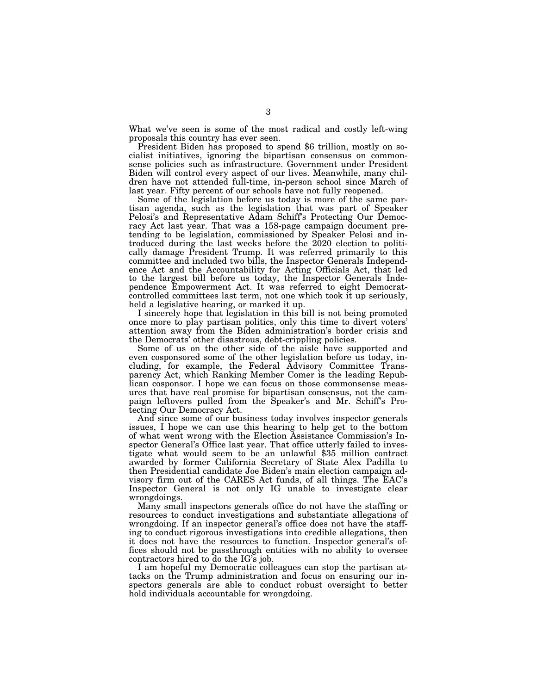What we've seen is some of the most radical and costly left-wing proposals this country has ever seen.

President Biden has proposed to spend \$6 trillion, mostly on socialist initiatives, ignoring the bipartisan consensus on commonsense policies such as infrastructure. Government under President Biden will control every aspect of our lives. Meanwhile, many children have not attended full-time, in-person school since March of last year. Fifty percent of our schools have not fully reopened.

Some of the legislation before us today is more of the same partisan agenda, such as the legislation that was part of Speaker Pelosi's and Representative Adam Schiff's Protecting Our Democracy Act last year. That was a 158-page campaign document pretending to be legislation, commissioned by Speaker Pelosi and introduced during the last weeks before the 2020 election to politically damage President Trump. It was referred primarily to this committee and included two bills, the Inspector Generals Independence Act and the Accountability for Acting Officials Act, that led to the largest bill before us today, the Inspector Generals Independence Empowerment Act. It was referred to eight Democratcontrolled committees last term, not one which took it up seriously, held a legislative hearing, or marked it up.

I sincerely hope that legislation in this bill is not being promoted once more to play partisan politics, only this time to divert voters' attention away from the Biden administration's border crisis and the Democrats' other disastrous, debt-crippling policies.

Some of us on the other side of the aisle have supported and even cosponsored some of the other legislation before us today, including, for example, the Federal Advisory Committee Transparency Act, which Ranking Member Comer is the leading Republican cosponsor. I hope we can focus on those commonsense measures that have real promise for bipartisan consensus, not the campaign leftovers pulled from the Speaker's and Mr. Schiff's Protecting Our Democracy Act.

And since some of our business today involves inspector generals issues, I hope we can use this hearing to help get to the bottom of what went wrong with the Election Assistance Commission's Inspector General's Office last year. That office utterly failed to investigate what would seem to be an unlawful \$35 million contract awarded by former California Secretary of State Alex Padilla to then Presidential candidate Joe Biden's main election campaign advisory firm out of the CARES Act funds, of all things. The EAC's Inspector General is not only IG unable to investigate clear wrongdoings.

Many small inspectors generals office do not have the staffing or resources to conduct investigations and substantiate allegations of wrongdoing. If an inspector general's office does not have the staffing to conduct rigorous investigations into credible allegations, then it does not have the resources to function. Inspector general's offices should not be passthrough entities with no ability to oversee contractors hired to do the IG's job.

I am hopeful my Democratic colleagues can stop the partisan attacks on the Trump administration and focus on ensuring our inspectors generals are able to conduct robust oversight to better hold individuals accountable for wrongdoing.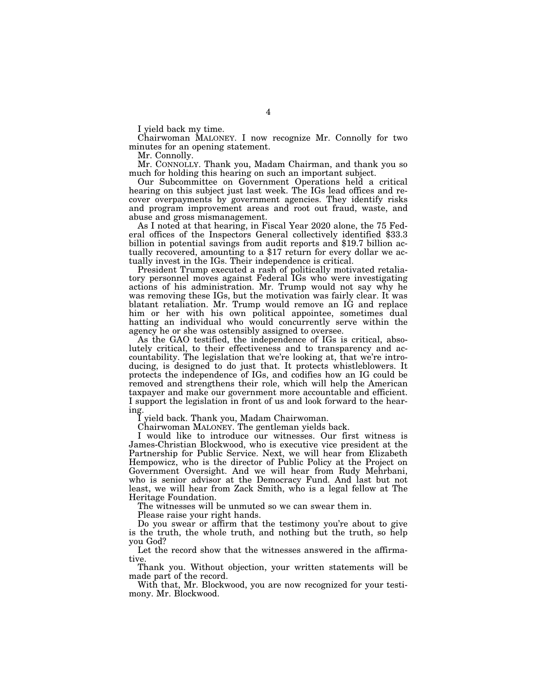I yield back my time.

Chairwoman MALONEY. I now recognize Mr. Connolly for two minutes for an opening statement.

Mr. Connolly.

Mr. CONNOLLY. Thank you, Madam Chairman, and thank you so much for holding this hearing on such an important subject.

Our Subcommittee on Government Operations held a critical hearing on this subject just last week. The IGs lead offices and recover overpayments by government agencies. They identify risks and program improvement areas and root out fraud, waste, and abuse and gross mismanagement.<br>As I noted at that hearing, in Fiscal Year 2020 alone, the 75 Fed-

eral offices of the Inspectors General collectively identified \$33.3 billion in potential savings from audit reports and \$19.7 billion actually recovered, amounting to a \$17 return for every dollar we actually invest in the IGs. Their independence is critical.

President Trump executed a rash of politically motivated retaliatory personnel moves against Federal IGs who were investigating actions of his administration. Mr. Trump would not say why he was removing these IGs, but the motivation was fairly clear. It was blatant retaliation. Mr. Trump would remove an IG and replace him or her with his own political appointee, sometimes dual hatting an individual who would concurrently serve within the agency he or she was ostensibly assigned to oversee.

As the GAO testified, the independence of IGs is critical, absolutely critical, to their effectiveness and to transparency and accountability. The legislation that we're looking at, that we're introducing, is designed to do just that. It protects whistleblowers. It protects the independence of IGs, and codifies how an IG could be removed and strengthens their role, which will help the American taxpayer and make our government more accountable and efficient. I support the legislation in front of us and look forward to the hearing.

I yield back. Thank you, Madam Chairwoman.

Chairwoman MALONEY. The gentleman yields back.

I would like to introduce our witnesses. Our first witness is James-Christian Blockwood, who is executive vice president at the Partnership for Public Service. Next, we will hear from Elizabeth Hempowicz, who is the director of Public Policy at the Project on Government Oversight. And we will hear from Rudy Mehrbani, who is senior advisor at the Democracy Fund. And last but not least, we will hear from Zack Smith, who is a legal fellow at The Heritage Foundation.

The witnesses will be unmuted so we can swear them in.

Please raise your right hands.

Do you swear or affirm that the testimony you're about to give is the truth, the whole truth, and nothing but the truth, so help you God?

Let the record show that the witnesses answered in the affirmative.

Thank you. Without objection, your written statements will be made part of the record.

With that, Mr. Blockwood, you are now recognized for your testimony. Mr. Blockwood.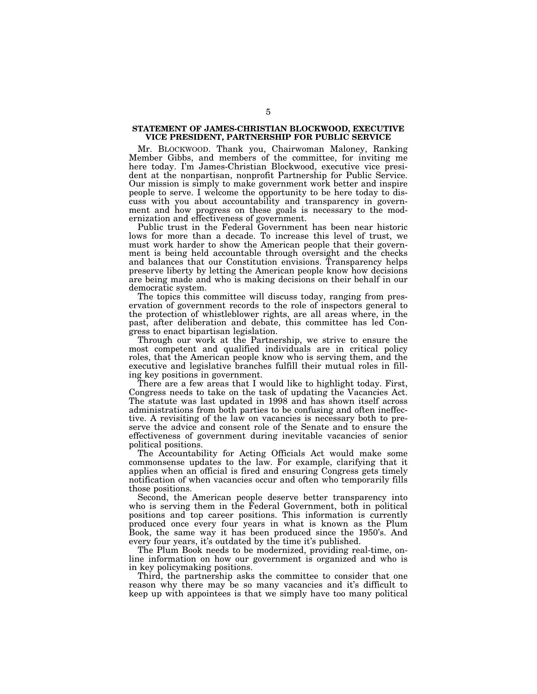#### **STATEMENT OF JAMES-CHRISTIAN BLOCKWOOD, EXECUTIVE VICE PRESIDENT, PARTNERSHIP FOR PUBLIC SERVICE**

Mr. BLOCKWOOD. Thank you, Chairwoman Maloney, Ranking Member Gibbs, and members of the committee, for inviting me here today. I'm James-Christian Blockwood, executive vice president at the nonpartisan, nonprofit Partnership for Public Service. Our mission is simply to make government work better and inspire people to serve. I welcome the opportunity to be here today to discuss with you about accountability and transparency in government and how progress on these goals is necessary to the modernization and effectiveness of government.

Public trust in the Federal Government has been near historic lows for more than a decade. To increase this level of trust, we must work harder to show the American people that their government is being held accountable through oversight and the checks and balances that our Constitution envisions. Transparency helps preserve liberty by letting the American people know how decisions are being made and who is making decisions on their behalf in our democratic system.

The topics this committee will discuss today, ranging from preservation of government records to the role of inspectors general to the protection of whistleblower rights, are all areas where, in the past, after deliberation and debate, this committee has led Congress to enact bipartisan legislation.

Through our work at the Partnership, we strive to ensure the most competent and qualified individuals are in critical policy roles, that the American people know who is serving them, and the executive and legislative branches fulfill their mutual roles in filling key positions in government.

There are a few areas that I would like to highlight today. First, Congress needs to take on the task of updating the Vacancies Act. The statute was last updated in 1998 and has shown itself across administrations from both parties to be confusing and often ineffective. A revisiting of the law on vacancies is necessary both to preserve the advice and consent role of the Senate and to ensure the effectiveness of government during inevitable vacancies of senior political positions.

The Accountability for Acting Officials Act would make some commonsense updates to the law. For example, clarifying that it applies when an official is fired and ensuring Congress gets timely notification of when vacancies occur and often who temporarily fills those positions.

Second, the American people deserve better transparency into who is serving them in the Federal Government, both in political positions and top career positions. This information is currently produced once every four years in what is known as the Plum Book, the same way it has been produced since the 1950's. And every four years, it's outdated by the time it's published.

The Plum Book needs to be modernized, providing real-time, online information on how our government is organized and who is in key policymaking positions.

Third, the partnership asks the committee to consider that one reason why there may be so many vacancies and it's difficult to keep up with appointees is that we simply have too many political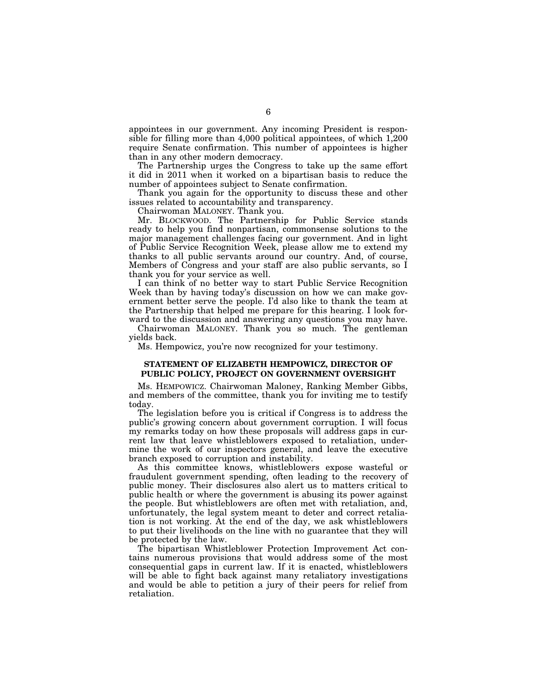appointees in our government. Any incoming President is responsible for filling more than 4,000 political appointees, of which 1,200 require Senate confirmation. This number of appointees is higher than in any other modern democracy.

The Partnership urges the Congress to take up the same effort it did in 2011 when it worked on a bipartisan basis to reduce the number of appointees subject to Senate confirmation.

Thank you again for the opportunity to discuss these and other issues related to accountability and transparency.

Chairwoman MALONEY. Thank you.

Mr. BLOCKWOOD. The Partnership for Public Service stands ready to help you find nonpartisan, commonsense solutions to the major management challenges facing our government. And in light of Public Service Recognition Week, please allow me to extend my thanks to all public servants around our country. And, of course, Members of Congress and your staff are also public servants, so I thank you for your service as well.

I can think of no better way to start Public Service Recognition Week than by having today's discussion on how we can make government better serve the people. I'd also like to thank the team at the Partnership that helped me prepare for this hearing. I look forward to the discussion and answering any questions you may have.

Chairwoman MALONEY. Thank you so much. The gentleman yields back.

Ms. Hempowicz, you're now recognized for your testimony.

#### **STATEMENT OF ELIZABETH HEMPOWICZ, DIRECTOR OF PUBLIC POLICY, PROJECT ON GOVERNMENT OVERSIGHT**

Ms. HEMPOWICZ. Chairwoman Maloney, Ranking Member Gibbs, and members of the committee, thank you for inviting me to testify today.

The legislation before you is critical if Congress is to address the public's growing concern about government corruption. I will focus my remarks today on how these proposals will address gaps in current law that leave whistleblowers exposed to retaliation, undermine the work of our inspectors general, and leave the executive branch exposed to corruption and instability.

As this committee knows, whistleblowers expose wasteful or fraudulent government spending, often leading to the recovery of public money. Their disclosures also alert us to matters critical to public health or where the government is abusing its power against the people. But whistleblowers are often met with retaliation, and, unfortunately, the legal system meant to deter and correct retaliation is not working. At the end of the day, we ask whistleblowers to put their livelihoods on the line with no guarantee that they will be protected by the law.

The bipartisan Whistleblower Protection Improvement Act contains numerous provisions that would address some of the most consequential gaps in current law. If it is enacted, whistleblowers will be able to fight back against many retaliatory investigations and would be able to petition a jury of their peers for relief from retaliation.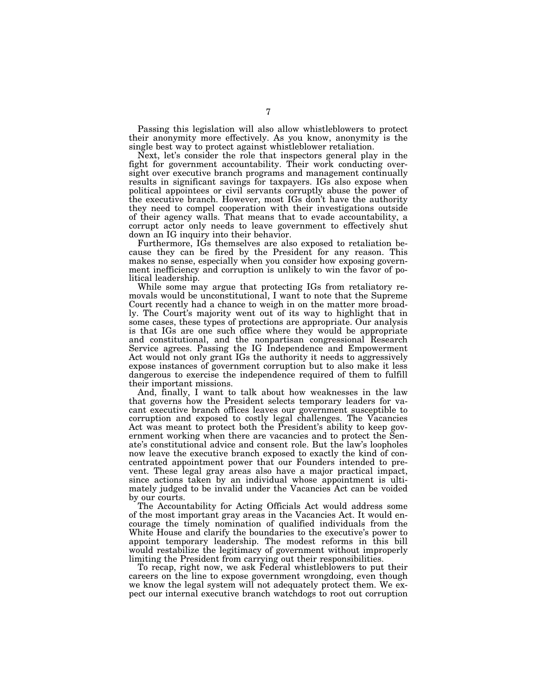Passing this legislation will also allow whistleblowers to protect their anonymity more effectively. As you know, anonymity is the single best way to protect against whistleblower retaliation.

Next, let's consider the role that inspectors general play in the fight for government accountability. Their work conducting oversight over executive branch programs and management continually results in significant savings for taxpayers. IGs also expose when political appointees or civil servants corruptly abuse the power of the executive branch. However, most IGs don't have the authority they need to compel cooperation with their investigations outside of their agency walls. That means that to evade accountability, a corrupt actor only needs to leave government to effectively shut down an IG inquiry into their behavior.

Furthermore, IGs themselves are also exposed to retaliation because they can be fired by the President for any reason. This makes no sense, especially when you consider how exposing government inefficiency and corruption is unlikely to win the favor of political leadership.

While some may argue that protecting IGs from retaliatory removals would be unconstitutional, I want to note that the Supreme Court recently had a chance to weigh in on the matter more broadly. The Court's majority went out of its way to highlight that in some cases, these types of protections are appropriate. Our analysis is that IGs are one such office where they would be appropriate and constitutional, and the nonpartisan congressional Research Service agrees. Passing the IG Independence and Empowerment Act would not only grant IGs the authority it needs to aggressively expose instances of government corruption but to also make it less dangerous to exercise the independence required of them to fulfill their important missions.

And, finally, I want to talk about how weaknesses in the law that governs how the President selects temporary leaders for vacant executive branch offices leaves our government susceptible to corruption and exposed to costly legal challenges. The Vacancies Act was meant to protect both the President's ability to keep government working when there are vacancies and to protect the Senate's constitutional advice and consent role. But the law's loopholes now leave the executive branch exposed to exactly the kind of concentrated appointment power that our Founders intended to prevent. These legal gray areas also have a major practical impact, since actions taken by an individual whose appointment is ultimately judged to be invalid under the Vacancies Act can be voided by our courts.

The Accountability for Acting Officials Act would address some of the most important gray areas in the Vacancies Act. It would encourage the timely nomination of qualified individuals from the White House and clarify the boundaries to the executive's power to appoint temporary leadership. The modest reforms in this bill would restabilize the legitimacy of government without improperly limiting the President from carrying out their responsibilities.

To recap, right now, we ask Federal whistleblowers to put their careers on the line to expose government wrongdoing, even though we know the legal system will not adequately protect them. We expect our internal executive branch watchdogs to root out corruption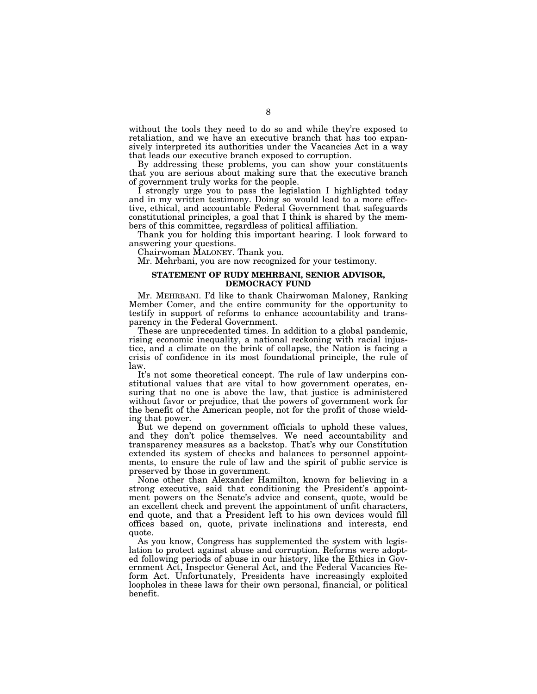without the tools they need to do so and while they're exposed to retaliation, and we have an executive branch that has too expansively interpreted its authorities under the Vacancies Act in a way that leads our executive branch exposed to corruption.

By addressing these problems, you can show your constituents that you are serious about making sure that the executive branch of government truly works for the people.

I strongly urge you to pass the legislation I highlighted today and in my written testimony. Doing so would lead to a more effective, ethical, and accountable Federal Government that safeguards constitutional principles, a goal that I think is shared by the members of this committee, regardless of political affiliation.

Thank you for holding this important hearing. I look forward to answering your questions.

Chairwoman MALONEY. Thank you.

Mr. Mehrbani, you are now recognized for your testimony.

#### **STATEMENT OF RUDY MEHRBANI, SENIOR ADVISOR, DEMOCRACY FUND**

Mr. MEHRBANI. I'd like to thank Chairwoman Maloney, Ranking Member Comer, and the entire community for the opportunity to testify in support of reforms to enhance accountability and transparency in the Federal Government.

These are unprecedented times. In addition to a global pandemic, rising economic inequality, a national reckoning with racial injustice, and a climate on the brink of collapse, the Nation is facing a crisis of confidence in its most foundational principle, the rule of law.

It's not some theoretical concept. The rule of law underpins constitutional values that are vital to how government operates, ensuring that no one is above the law, that justice is administered without favor or prejudice, that the powers of government work for the benefit of the American people, not for the profit of those wielding that power.

But we depend on government officials to uphold these values, and they don't police themselves. We need accountability and transparency measures as a backstop. That's why our Constitution extended its system of checks and balances to personnel appointments, to ensure the rule of law and the spirit of public service is preserved by those in government.

None other than Alexander Hamilton, known for believing in a strong executive, said that conditioning the President's appointment powers on the Senate's advice and consent, quote, would be an excellent check and prevent the appointment of unfit characters, end quote, and that a President left to his own devices would fill offices based on, quote, private inclinations and interests, end quote.

As you know, Congress has supplemented the system with legislation to protect against abuse and corruption. Reforms were adopted following periods of abuse in our history, like the Ethics in Government Act, Inspector General Act, and the Federal Vacancies Reform Act. Unfortunately, Presidents have increasingly exploited loopholes in these laws for their own personal, financial, or political benefit.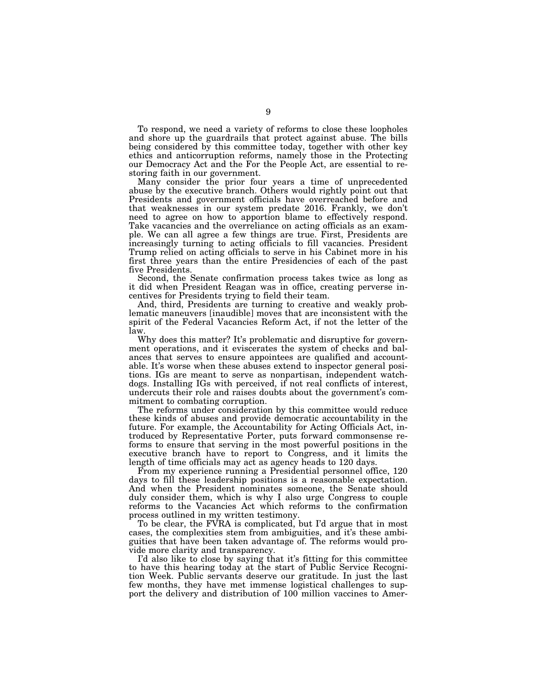To respond, we need a variety of reforms to close these loopholes and shore up the guardrails that protect against abuse. The bills being considered by this committee today, together with other key ethics and anticorruption reforms, namely those in the Protecting our Democracy Act and the For the People Act, are essential to restoring faith in our government.

Many consider the prior four years a time of unprecedented abuse by the executive branch. Others would rightly point out that Presidents and government officials have overreached before and that weaknesses in our system predate 2016. Frankly, we don't need to agree on how to apportion blame to effectively respond. Take vacancies and the overreliance on acting officials as an example. We can all agree a few things are true. First, Presidents are increasingly turning to acting officials to fill vacancies. President Trump relied on acting officials to serve in his Cabinet more in his first three years than the entire Presidencies of each of the past five Presidents.

Second, the Senate confirmation process takes twice as long as it did when President Reagan was in office, creating perverse incentives for Presidents trying to field their team.

And, third, Presidents are turning to creative and weakly problematic maneuvers [inaudible] moves that are inconsistent with the spirit of the Federal Vacancies Reform Act, if not the letter of the law.

Why does this matter? It's problematic and disruptive for government operations, and it eviscerates the system of checks and balances that serves to ensure appointees are qualified and accountable. It's worse when these abuses extend to inspector general positions. IGs are meant to serve as nonpartisan, independent watchdogs. Installing IGs with perceived, if not real conflicts of interest, undercuts their role and raises doubts about the government's commitment to combating corruption.

The reforms under consideration by this committee would reduce these kinds of abuses and provide democratic accountability in the future. For example, the Accountability for Acting Officials Act, introduced by Representative Porter, puts forward commonsense reforms to ensure that serving in the most powerful positions in the executive branch have to report to Congress, and it limits the length of time officials may act as agency heads to 120 days.

From my experience running a Presidential personnel office, 120 days to fill these leadership positions is a reasonable expectation. And when the President nominates someone, the Senate should duly consider them, which is why I also urge Congress to couple reforms to the Vacancies Act which reforms to the confirmation process outlined in my written testimony.

To be clear, the FVRA is complicated, but I'd argue that in most cases, the complexities stem from ambiguities, and it's these ambiguities that have been taken advantage of. The reforms would provide more clarity and transparency.

I'd also like to close by saying that it's fitting for this committee to have this hearing today at the start of Public Service Recognition Week. Public servants deserve our gratitude. In just the last few months, they have met immense logistical challenges to support the delivery and distribution of 100 million vaccines to Amer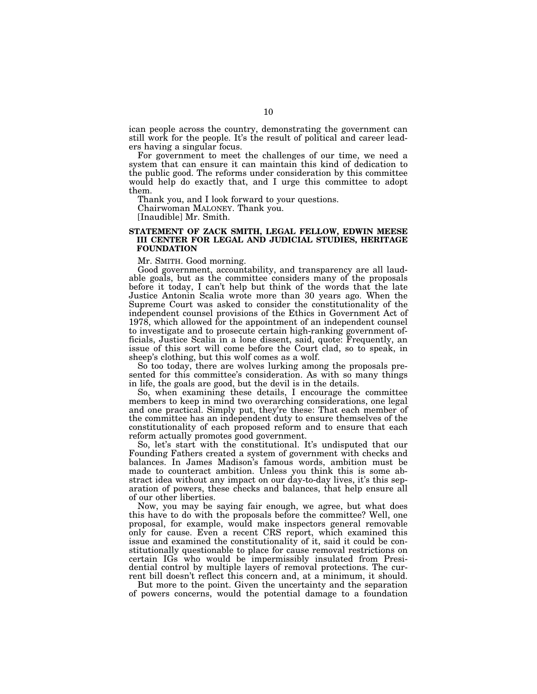ican people across the country, demonstrating the government can still work for the people. It's the result of political and career leaders having a singular focus.

For government to meet the challenges of our time, we need a system that can ensure it can maintain this kind of dedication to the public good. The reforms under consideration by this committee would help do exactly that, and I urge this committee to adopt them.

Thank you, and I look forward to your questions.

Chairwoman MALONEY. Thank you.

[Inaudible] Mr. Smith.

#### **STATEMENT OF ZACK SMITH, LEGAL FELLOW, EDWIN MEESE III CENTER FOR LEGAL AND JUDICIAL STUDIES, HERITAGE FOUNDATION**

Mr. SMITH. Good morning.

Good government, accountability, and transparency are all laudable goals, but as the committee considers many of the proposals before it today, I can't help but think of the words that the late Justice Antonin Scalia wrote more than 30 years ago. When the Supreme Court was asked to consider the constitutionality of the independent counsel provisions of the Ethics in Government Act of 1978, which allowed for the appointment of an independent counsel to investigate and to prosecute certain high-ranking government officials, Justice Scalia in a lone dissent, said, quote: Frequently, an issue of this sort will come before the Court clad, so to speak, in sheep's clothing, but this wolf comes as a wolf.

So too today, there are wolves lurking among the proposals presented for this committee's consideration. As with so many things in life, the goals are good, but the devil is in the details.

So, when examining these details, I encourage the committee members to keep in mind two overarching considerations, one legal and one practical. Simply put, they're these: That each member of the committee has an independent duty to ensure themselves of the constitutionality of each proposed reform and to ensure that each reform actually promotes good government.

So, let's start with the constitutional. It's undisputed that our Founding Fathers created a system of government with checks and balances. In James Madison's famous words, ambition must be made to counteract ambition. Unless you think this is some abstract idea without any impact on our day-to-day lives, it's this separation of powers, these checks and balances, that help ensure all of our other liberties.

Now, you may be saying fair enough, we agree, but what does this have to do with the proposals before the committee? Well, one proposal, for example, would make inspectors general removable only for cause. Even a recent CRS report, which examined this issue and examined the constitutionality of it, said it could be constitutionally questionable to place for cause removal restrictions on certain IGs who would be impermissibly insulated from Presidential control by multiple layers of removal protections. The current bill doesn't reflect this concern and, at a minimum, it should.

But more to the point. Given the uncertainty and the separation of powers concerns, would the potential damage to a foundation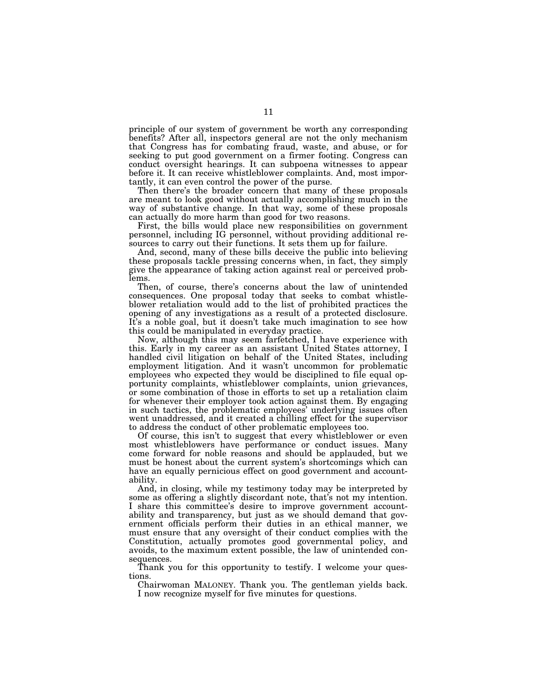principle of our system of government be worth any corresponding benefits? After all, inspectors general are not the only mechanism that Congress has for combating fraud, waste, and abuse, or for seeking to put good government on a firmer footing. Congress can conduct oversight hearings. It can subpoena witnesses to appear before it. It can receive whistleblower complaints. And, most importantly, it can even control the power of the purse.

Then there's the broader concern that many of these proposals are meant to look good without actually accomplishing much in the way of substantive change. In that way, some of these proposals can actually do more harm than good for two reasons.

First, the bills would place new responsibilities on government personnel, including IG personnel, without providing additional resources to carry out their functions. It sets them up for failure.

And, second, many of these bills deceive the public into believing these proposals tackle pressing concerns when, in fact, they simply give the appearance of taking action against real or perceived problems.

Then, of course, there's concerns about the law of unintended consequences. One proposal today that seeks to combat whistleblower retaliation would add to the list of prohibited practices the opening of any investigations as a result of a protected disclosure. It's a noble goal, but it doesn't take much imagination to see how this could be manipulated in everyday practice.

Now, although this may seem farfetched, I have experience with this. Early in my career as an assistant United States attorney, I handled civil litigation on behalf of the United States, including employment litigation. And it wasn't uncommon for problematic employees who expected they would be disciplined to file equal opportunity complaints, whistleblower complaints, union grievances, or some combination of those in efforts to set up a retaliation claim for whenever their employer took action against them. By engaging in such tactics, the problematic employees' underlying issues often went unaddressed, and it created a chilling effect for the supervisor to address the conduct of other problematic employees too.

Of course, this isn't to suggest that every whistleblower or even most whistleblowers have performance or conduct issues. Many come forward for noble reasons and should be applauded, but we must be honest about the current system's shortcomings which can have an equally pernicious effect on good government and accountability.

And, in closing, while my testimony today may be interpreted by some as offering a slightly discordant note, that's not my intention. I share this committee's desire to improve government accountability and transparency, but just as we should demand that government officials perform their duties in an ethical manner, we must ensure that any oversight of their conduct complies with the Constitution, actually promotes good governmental policy, and avoids, to the maximum extent possible, the law of unintended consequences.

Thank you for this opportunity to testify. I welcome your questions.

Chairwoman MALONEY. Thank you. The gentleman yields back. I now recognize myself for five minutes for questions.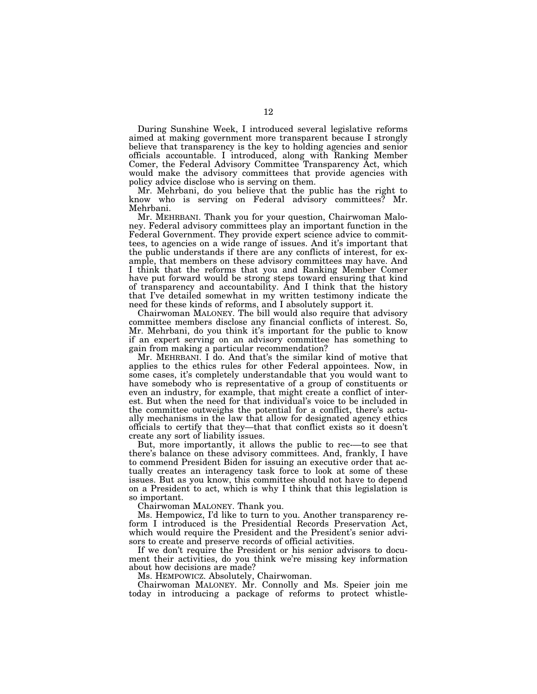During Sunshine Week, I introduced several legislative reforms aimed at making government more transparent because I strongly believe that transparency is the key to holding agencies and senior officials accountable. I introduced, along with Ranking Member Comer, the Federal Advisory Committee Transparency Act, which would make the advisory committees that provide agencies with policy advice disclose who is serving on them.

Mr. Mehrbani, do you believe that the public has the right to know who is serving on Federal advisory committees? Mr. Mehrbani.

Mr. MEHRBANI. Thank you for your question, Chairwoman Maloney. Federal advisory committees play an important function in the Federal Government. They provide expert science advice to committees, to agencies on a wide range of issues. And it's important that the public understands if there are any conflicts of interest, for example, that members on these advisory committees may have. And I think that the reforms that you and Ranking Member Comer have put forward would be strong steps toward ensuring that kind of transparency and accountability. And I think that the history that I've detailed somewhat in my written testimony indicate the need for these kinds of reforms, and I absolutely support it.

Chairwoman MALONEY. The bill would also require that advisory committee members disclose any financial conflicts of interest. So, Mr. Mehrbani, do you think it's important for the public to know if an expert serving on an advisory committee has something to gain from making a particular recommendation?

Mr. MEHRBANI. I do. And that's the similar kind of motive that applies to the ethics rules for other Federal appointees. Now, in some cases, it's completely understandable that you would want to have somebody who is representative of a group of constituents or even an industry, for example, that might create a conflict of interest. But when the need for that individual's voice to be included in the committee outweighs the potential for a conflict, there's actually mechanisms in the law that allow for designated agency ethics officials to certify that they—that that conflict exists so it doesn't create any sort of liability issues.

But, more importantly, it allows the public to rec-—to see that there's balance on these advisory committees. And, frankly, I have to commend President Biden for issuing an executive order that actually creates an interagency task force to look at some of these issues. But as you know, this committee should not have to depend on a President to act, which is why I think that this legislation is so important.

Chairwoman MALONEY. Thank you.

Ms. Hempowicz, I'd like to turn to you. Another transparency reform I introduced is the Presidential Records Preservation Act, which would require the President and the President's senior advisors to create and preserve records of official activities.

If we don't require the President or his senior advisors to document their activities, do you think we're missing key information about how decisions are made?

Ms. HEMPOWICZ. Absolutely, Chairwoman.

Chairwoman MALONEY. Mr. Connolly and Ms. Speier join me today in introducing a package of reforms to protect whistle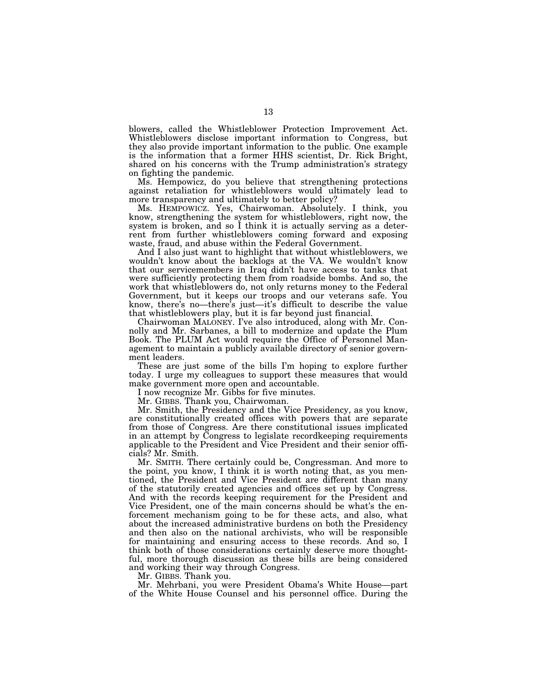blowers, called the Whistleblower Protection Improvement Act. Whistleblowers disclose important information to Congress, but they also provide important information to the public. One example is the information that a former HHS scientist, Dr. Rick Bright, shared on his concerns with the Trump administration's strategy on fighting the pandemic.

Ms. Hempowicz, do you believe that strengthening protections against retaliation for whistleblowers would ultimately lead to more transparency and ultimately to better policy?

Ms. HEMPOWICZ. Yes, Chairwoman. Absolutely. I think, you know, strengthening the system for whistleblowers, right now, the system is broken, and so I think it is actually serving as a deterrent from further whistleblowers coming forward and exposing waste, fraud, and abuse within the Federal Government.

And I also just want to highlight that without whistleblowers, we wouldn't know about the backlogs at the VA. We wouldn't know that our servicemembers in Iraq didn't have access to tanks that were sufficiently protecting them from roadside bombs. And so, the work that whistleblowers do, not only returns money to the Federal Government, but it keeps our troops and our veterans safe. You know, there's no—there's just—it's difficult to describe the value that whistleblowers play, but it is far beyond just financial.

Chairwoman MALONEY. I've also introduced, along with Mr. Connolly and Mr. Sarbanes, a bill to modernize and update the Plum Book. The PLUM Act would require the Office of Personnel Management to maintain a publicly available directory of senior government leaders.

These are just some of the bills I'm hoping to explore further today. I urge my colleagues to support these measures that would make government more open and accountable.

I now recognize Mr. Gibbs for five minutes.

Mr. GIBBS. Thank you, Chairwoman.

Mr. Smith, the Presidency and the Vice Presidency, as you know, are constitutionally created offices with powers that are separate from those of Congress. Are there constitutional issues implicated in an attempt by Congress to legislate recordkeeping requirements applicable to the President and Vice President and their senior officials? Mr. Smith.

Mr. SMITH. There certainly could be, Congressman. And more to the point, you know, I think it is worth noting that, as you mentioned, the President and Vice President are different than many of the statutorily created agencies and offices set up by Congress. And with the records keeping requirement for the President and Vice President, one of the main concerns should be what's the enforcement mechanism going to be for these acts, and also, what about the increased administrative burdens on both the Presidency and then also on the national archivists, who will be responsible for maintaining and ensuring access to these records. And so, I think both of those considerations certainly deserve more thoughtful, more thorough discussion as these bills are being considered and working their way through Congress.

Mr. GIBBS. Thank you.

Mr. Mehrbani, you were President Obama's White House—part of the White House Counsel and his personnel office. During the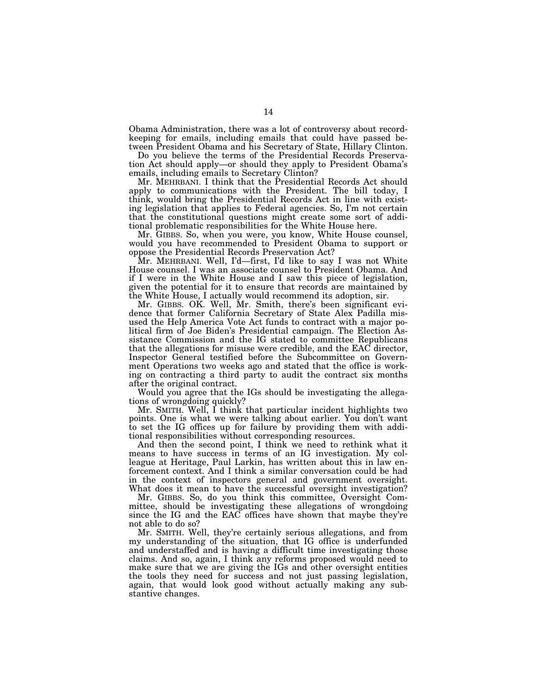Obama Administration, there was a lot of controversy about recordkeeping for emails, including emails that could have passed between President Obama and his Secretary of State, Hillary Clinton.

Do you believe the terms of the Presidential Records Preservation Act should apply—or should they apply to President Obama's emails, including emails to Secretary Clinton?

Mr. MEHRBANI. I think that the Presidential Records Act should apply to communications with the President. The bill today, I think, would bring the Presidential Records Act in line with existing legislation that applies to Federal agencies. So, I'm not certain that the constitutional questions might create some sort of additional problematic responsibilities for the White House here.

Mr. GIBBS. So, when you were, you know, White House counsel, would you have recommended to President Obama to support or oppose the Presidential Records Preservation Act?

Mr. MEHRBANI. Well, I'd—first, I'd like to say I was not White House counsel. I was an associate counsel to President Obama. And if I were in the White House and I saw this piece of legislation, given the potential for it to ensure that records are maintained by the White House, I actually would recommend its adoption, sir.

Mr. GIBBS. OK. Well, Mr. Smith, there's been significant evidence that former California Secretary of State Alex Padilla misused the Help America Vote Act funds to contract with a major political firm of Joe Biden's Presidential campaign. The Election Assistance Commission and the IG stated to committee Republicans that the allegations for misuse were credible, and the EAC director, Inspector General testified before the Subcommittee on Government Operations two weeks ago and stated that the office is working on contracting a third party to audit the contract six months after the original contract.

Would you agree that the IGs should be investigating the allegations of wrongdoing quickly?

Mr. SMITH. Well, I think that particular incident highlights two points. One is what we were talking about earlier. You don't want to set the IG offices up for failure by providing them with additional responsibilities without corresponding resources.

And then the second point, I think we need to rethink what it means to have success in terms of an IG investigation. My colleague at Heritage, Paul Larkin, has written about this in law enforcement context. And I think a similar conversation could be had in the context of inspectors general and government oversight. What does it mean to have the successful oversight investigation?

Mr. GIBBS. So, do you think this committee, Oversight Committee, should be investigating these allegations of wrongdoing since the IG and the EAC offices have shown that maybe they're not able to do so?

Mr. SMITH. Well, they're certainly serious allegations, and from my understanding of the situation, that IG office is underfunded and understaffed and is having a difficult time investigating those claims. And so, again, I think any reforms proposed would need to make sure that we are giving the IGs and other oversight entities the tools they need for success and not just passing legislation, again, that would look good without actually making any substantive changes.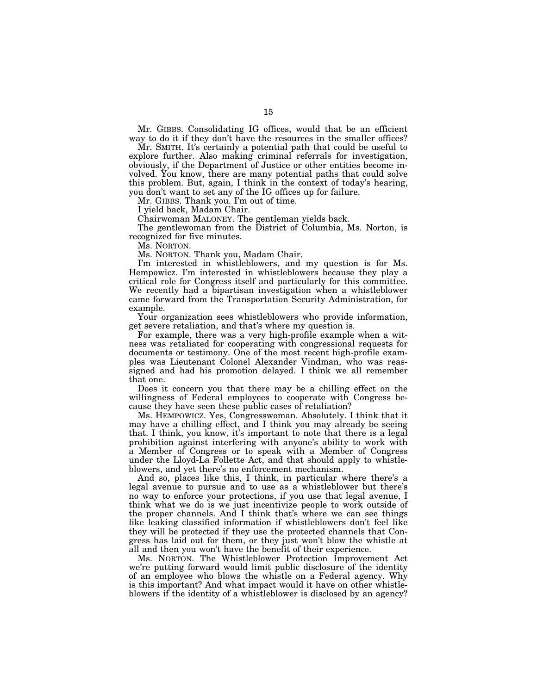Mr. GIBBS. Consolidating IG offices, would that be an efficient way to do it if they don't have the resources in the smaller offices?

Mr. SMITH. It's certainly a potential path that could be useful to explore further. Also making criminal referrals for investigation, obviously, if the Department of Justice or other entities become involved. You know, there are many potential paths that could solve this problem. But, again, I think in the context of today's hearing, you don't want to set any of the IG offices up for failure.

Mr. GIBBS. Thank you. I'm out of time.

I yield back, Madam Chair.

Chairwoman MALONEY. The gentleman yields back.

The gentlewoman from the District of Columbia, Ms. Norton, is recognized for five minutes.

Ms. NORTON.

Ms. NORTON. Thank you, Madam Chair.

I'm interested in whistleblowers, and my question is for Ms. Hempowicz. I'm interested in whistleblowers because they play a critical role for Congress itself and particularly for this committee. We recently had a bipartisan investigation when a whistleblower came forward from the Transportation Security Administration, for example.

Your organization sees whistleblowers who provide information, get severe retaliation, and that's where my question is.

For example, there was a very high-profile example when a witness was retaliated for cooperating with congressional requests for documents or testimony. One of the most recent high-profile examples was Lieutenant Colonel Alexander Vindman, who was reassigned and had his promotion delayed. I think we all remember that one.

Does it concern you that there may be a chilling effect on the willingness of Federal employees to cooperate with Congress because they have seen these public cases of retaliation?

Ms. HEMPOWICZ. Yes, Congresswoman. Absolutely. I think that it may have a chilling effect, and I think you may already be seeing that. I think, you know, it's important to note that there is a legal prohibition against interfering with anyone's ability to work with a Member of Congress or to speak with a Member of Congress under the Lloyd-La Follette Act, and that should apply to whistleblowers, and yet there's no enforcement mechanism.

And so, places like this, I think, in particular where there's a legal avenue to pursue and to use as a whistleblower but there's no way to enforce your protections, if you use that legal avenue, I think what we do is we just incentivize people to work outside of the proper channels. And I think that's where we can see things like leaking classified information if whistleblowers don't feel like they will be protected if they use the protected channels that Congress has laid out for them, or they just won't blow the whistle at all and then you won't have the benefit of their experience.

Ms. NORTON. The Whistleblower Protection Improvement Act we're putting forward would limit public disclosure of the identity of an employee who blows the whistle on a Federal agency. Why is this important? And what impact would it have on other whistleblowers if the identity of a whistleblower is disclosed by an agency?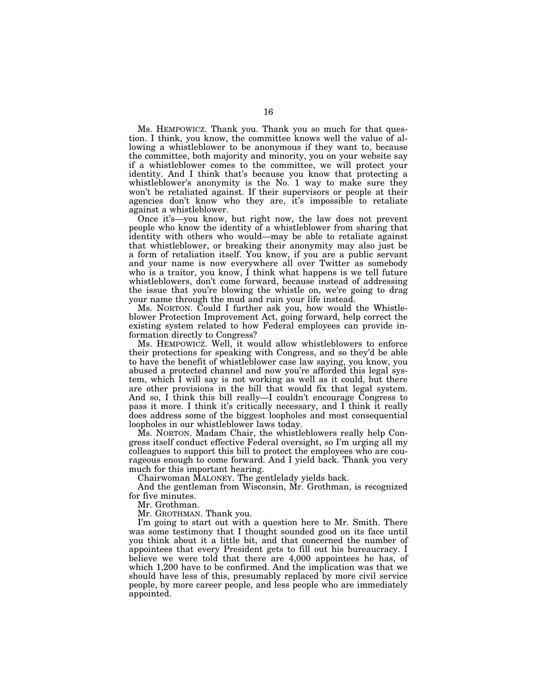Ms. HEMPOWICZ. Thank you. Thank you so much for that question. I think, you know, the committee knows well the value of allowing a whistleblower to be anonymous if they want to, because the committee, both majority and minority, you on your website say if a whistleblower comes to the committee, we will protect your identity. And I think that's because you know that protecting a whistleblower's anonymity is the No. 1 way to make sure they won't be retaliated against. If their supervisors or people at their agencies don't know who they are, it's impossible to retaliate against a whistleblower.

Once it's—you know, but right now, the law does not prevent people who know the identity of a whistleblower from sharing that identity with others who would—may be able to retaliate against that whistleblower, or breaking their anonymity may also just be a form of retaliation itself. You know, if you are a public servant and your name is now everywhere all over Twitter as somebody who is a traitor, you know, I think what happens is we tell future whistleblowers, don't come forward, because instead of addressing the issue that you're blowing the whistle on, we're going to drag your name through the mud and ruin your life instead.

Ms. NORTON. Could I further ask you, how would the Whistleblower Protection Improvement Act, going forward, help correct the existing system related to how Federal employees can provide information directly to Congress?

Ms. HEMPOWICZ. Well, it would allow whistleblowers to enforce their protections for speaking with Congress, and so they'd be able to have the benefit of whistleblower case law saying, you know, you abused a protected channel and now you're afforded this legal system, which I will say is not working as well as it could, but there are other provisions in the bill that would fix that legal system. And so, I think this bill really—I couldn't encourage Congress to pass it more. I think it's critically necessary, and I think it really does address some of the biggest loopholes and most consequential loopholes in our whistleblower laws today.

Ms. NORTON. Madam Chair, the whistleblowers really help Congress itself conduct effective Federal oversight, so I'm urging all my colleagues to support this bill to protect the employees who are courageous enough to come forward. And I yield back. Thank you very much for this important hearing.

Chairwoman MALONEY. The gentlelady yields back.

And the gentleman from Wisconsin, Mr. Grothman, is recognized for five minutes.

Mr. Grothman.

Mr. GROTHMAN. Thank you.

I'm going to start out with a question here to Mr. Smith. There was some testimony that I thought sounded good on its face until you think about it a little bit, and that concerned the number of appointees that every President gets to fill out his bureaucracy. I believe we were told that there are 4,000 appointees he has, of which 1,200 have to be confirmed. And the implication was that we should have less of this, presumably replaced by more civil service people, by more career people, and less people who are immediately appointed.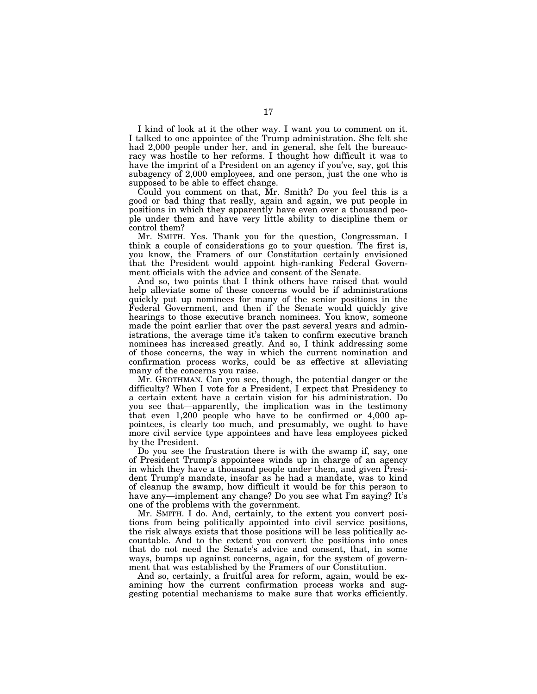I kind of look at it the other way. I want you to comment on it. I talked to one appointee of the Trump administration. She felt she had 2,000 people under her, and in general, she felt the bureaucracy was hostile to her reforms. I thought how difficult it was to have the imprint of a President on an agency if you've, say, got this subagency of 2,000 employees, and one person, just the one who is supposed to be able to effect change.

Could you comment on that, Mr. Smith? Do you feel this is a good or bad thing that really, again and again, we put people in positions in which they apparently have even over a thousand people under them and have very little ability to discipline them or control them?

Mr. SMITH. Yes. Thank you for the question, Congressman. I think a couple of considerations go to your question. The first is, you know, the Framers of our Constitution certainly envisioned that the President would appoint high-ranking Federal Government officials with the advice and consent of the Senate.

And so, two points that I think others have raised that would help alleviate some of these concerns would be if administrations quickly put up nominees for many of the senior positions in the Federal Government, and then if the Senate would quickly give hearings to those executive branch nominees. You know, someone made the point earlier that over the past several years and administrations, the average time it's taken to confirm executive branch nominees has increased greatly. And so, I think addressing some of those concerns, the way in which the current nomination and confirmation process works, could be as effective at alleviating many of the concerns you raise.

Mr. GROTHMAN. Can you see, though, the potential danger or the difficulty? When I vote for a President, I expect that Presidency to a certain extent have a certain vision for his administration. Do you see that—apparently, the implication was in the testimony that even 1,200 people who have to be confirmed or 4,000 appointees, is clearly too much, and presumably, we ought to have more civil service type appointees and have less employees picked by the President.

Do you see the frustration there is with the swamp if, say, one of President Trump's appointees winds up in charge of an agency in which they have a thousand people under them, and given President Trump's mandate, insofar as he had a mandate, was to kind of cleanup the swamp, how difficult it would be for this person to have any—implement any change? Do you see what I'm saying? It's one of the problems with the government.

Mr. SMITH. I do. And, certainly, to the extent you convert positions from being politically appointed into civil service positions, the risk always exists that those positions will be less politically accountable. And to the extent you convert the positions into ones that do not need the Senate's advice and consent, that, in some ways, bumps up against concerns, again, for the system of government that was established by the Framers of our Constitution.

And so, certainly, a fruitful area for reform, again, would be examining how the current confirmation process works and suggesting potential mechanisms to make sure that works efficiently.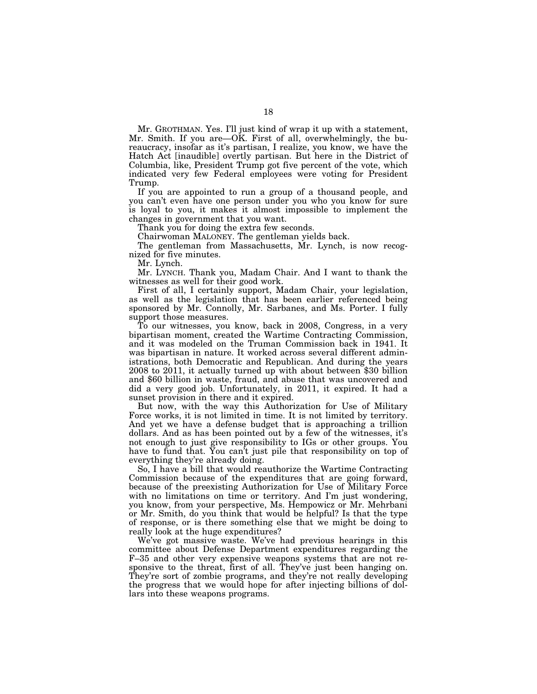Mr. GROTHMAN. Yes. I'll just kind of wrap it up with a statement, Mr. Smith. If you are—OK. First of all, overwhelmingly, the bureaucracy, insofar as it's partisan, I realize, you know, we have the Hatch Act [inaudible] overtly partisan. But here in the District of Columbia, like, President Trump got five percent of the vote, which indicated very few Federal employees were voting for President Trump.

If you are appointed to run a group of a thousand people, and you can't even have one person under you who you know for sure is loyal to you, it makes it almost impossible to implement the changes in government that you want.

Thank you for doing the extra few seconds.

Chairwoman MALONEY. The gentleman yields back.

The gentleman from Massachusetts, Mr. Lynch, is now recognized for five minutes.

Mr. Lynch.

Mr. LYNCH. Thank you, Madam Chair. And I want to thank the witnesses as well for their good work.

First of all, I certainly support, Madam Chair, your legislation, as well as the legislation that has been earlier referenced being sponsored by Mr. Connolly, Mr. Sarbanes, and Ms. Porter. I fully support those measures.

To our witnesses, you know, back in 2008, Congress, in a very bipartisan moment, created the Wartime Contracting Commission, and it was modeled on the Truman Commission back in 1941. It was bipartisan in nature. It worked across several different administrations, both Democratic and Republican. And during the years 2008 to 2011, it actually turned up with about between \$30 billion and \$60 billion in waste, fraud, and abuse that was uncovered and did a very good job. Unfortunately, in 2011, it expired. It had a sunset provision in there and it expired.

But now, with the way this Authorization for Use of Military Force works, it is not limited in time. It is not limited by territory. And yet we have a defense budget that is approaching a trillion dollars. And as has been pointed out by a few of the witnesses, it's not enough to just give responsibility to IGs or other groups. You have to fund that. You can't just pile that responsibility on top of everything they're already doing.

So, I have a bill that would reauthorize the Wartime Contracting Commission because of the expenditures that are going forward, because of the preexisting Authorization for Use of Military Force with no limitations on time or territory. And I'm just wondering, you know, from your perspective, Ms. Hempowicz or Mr. Mehrbani or Mr. Smith, do you think that would be helpful? Is that the type of response, or is there something else that we might be doing to really look at the huge expenditures?

We've got massive waste. We've had previous hearings in this committee about Defense Department expenditures regarding the F–35 and other very expensive weapons systems that are not responsive to the threat, first of all. They've just been hanging on. They're sort of zombie programs, and they're not really developing the progress that we would hope for after injecting billions of dollars into these weapons programs.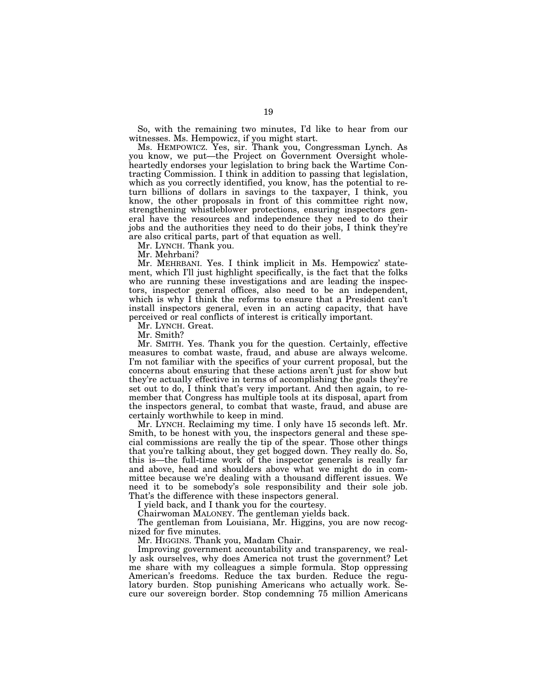So, with the remaining two minutes, I'd like to hear from our witnesses. Ms. Hempowicz, if you might start.

Ms. HEMPOWICZ. Yes, sir. Thank you, Congressman Lynch. As you know, we put—the Project on Government Oversight wholeheartedly endorses your legislation to bring back the Wartime Contracting Commission. I think in addition to passing that legislation, which as you correctly identified, you know, has the potential to return billions of dollars in savings to the taxpayer, I think, you know, the other proposals in front of this committee right now, strengthening whistleblower protections, ensuring inspectors general have the resources and independence they need to do their jobs and the authorities they need to do their jobs, I think they're are also critical parts, part of that equation as well.

Mr. LYNCH. Thank you.

Mr. Mehrbani?

Mr. MEHRBANI. Yes. I think implicit in Ms. Hempowicz' statement, which I'll just highlight specifically, is the fact that the folks who are running these investigations and are leading the inspectors, inspector general offices, also need to be an independent, which is why I think the reforms to ensure that a President can't install inspectors general, even in an acting capacity, that have perceived or real conflicts of interest is critically important.

Mr. LYNCH. Great.

Mr. Smith?

Mr. SMITH. Yes. Thank you for the question. Certainly, effective measures to combat waste, fraud, and abuse are always welcome. I'm not familiar with the specifics of your current proposal, but the concerns about ensuring that these actions aren't just for show but they're actually effective in terms of accomplishing the goals they're set out to do, I think that's very important. And then again, to remember that Congress has multiple tools at its disposal, apart from the inspectors general, to combat that waste, fraud, and abuse are certainly worthwhile to keep in mind.

Mr. LYNCH. Reclaiming my time. I only have 15 seconds left. Mr. Smith, to be honest with you, the inspectors general and these special commissions are really the tip of the spear. Those other things that you're talking about, they get bogged down. They really do. So, this is—the full-time work of the inspector generals is really far and above, head and shoulders above what we might do in committee because we're dealing with a thousand different issues. We need it to be somebody's sole responsibility and their sole job. That's the difference with these inspectors general.

I yield back, and I thank you for the courtesy.

Chairwoman MALONEY. The gentleman yields back.

The gentleman from Louisiana, Mr. Higgins, you are now recognized for five minutes.

Mr. HIGGINS. Thank you, Madam Chair.

Improving government accountability and transparency, we really ask ourselves, why does America not trust the government? Let me share with my colleagues a simple formula. Stop oppressing American's freedoms. Reduce the tax burden. Reduce the regulatory burden. Stop punishing Americans who actually work. Secure our sovereign border. Stop condemning 75 million Americans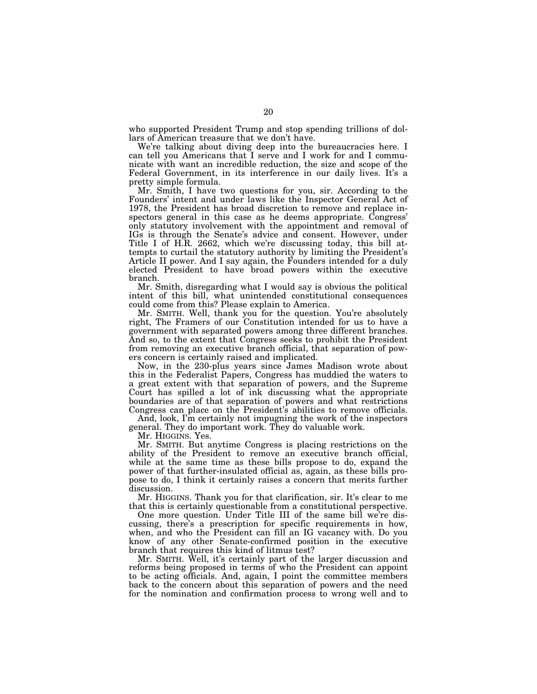who supported President Trump and stop spending trillions of dollars of American treasure that we don't have.

We're talking about diving deep into the bureaucracies here. I can tell you Americans that I serve and I work for and I communicate with want an incredible reduction, the size and scope of the Federal Government, in its interference in our daily lives. It's a pretty simple formula.

Mr. Smith, I have two questions for you, sir. According to the Founders' intent and under laws like the Inspector General Act of 1978, the President has broad discretion to remove and replace inspectors general in this case as he deems appropriate. Congress' only statutory involvement with the appointment and removal of IGs is through the Senate's advice and consent. However, under Title I of H.R. 2662, which we're discussing today, this bill attempts to curtail the statutory authority by limiting the President's Article II power. And I say again, the Founders intended for a duly elected President to have broad powers within the executive branch.

Mr. Smith, disregarding what I would say is obvious the political intent of this bill, what unintended constitutional consequences could come from this? Please explain to America.

Mr. SMITH. Well, thank you for the question. You're absolutely right, The Framers of our Constitution intended for us to have a government with separated powers among three different branches. And so, to the extent that Congress seeks to prohibit the President from removing an executive branch official, that separation of powers concern is certainly raised and implicated.

Now, in the 230-plus years since James Madison wrote about this in the Federalist Papers, Congress has muddied the waters to a great extent with that separation of powers, and the Supreme Court has spilled a lot of ink discussing what the appropriate boundaries are of that separation of powers and what restrictions Congress can place on the President's abilities to remove officials.

And, look, I'm certainly not impugning the work of the inspectors general. They do important work. They do valuable work.

Mr. HIGGINS. Yes.

Mr. SMITH. But anytime Congress is placing restrictions on the ability of the President to remove an executive branch official, while at the same time as these bills propose to do, expand the power of that further-insulated official as, again, as these bills propose to do, I think it certainly raises a concern that merits further discussion.

Mr. HIGGINS. Thank you for that clarification, sir. It's clear to me that this is certainly questionable from a constitutional perspective.

One more question. Under Title III of the same bill we're discussing, there's a prescription for specific requirements in how, when, and who the President can fill an IG vacancy with. Do you know of any other Senate-confirmed position in the executive branch that requires this kind of litmus test?

Mr. SMITH. Well, it's certainly part of the larger discussion and reforms being proposed in terms of who the President can appoint to be acting officials. And, again, I point the committee members back to the concern about this separation of powers and the need for the nomination and confirmation process to wrong well and to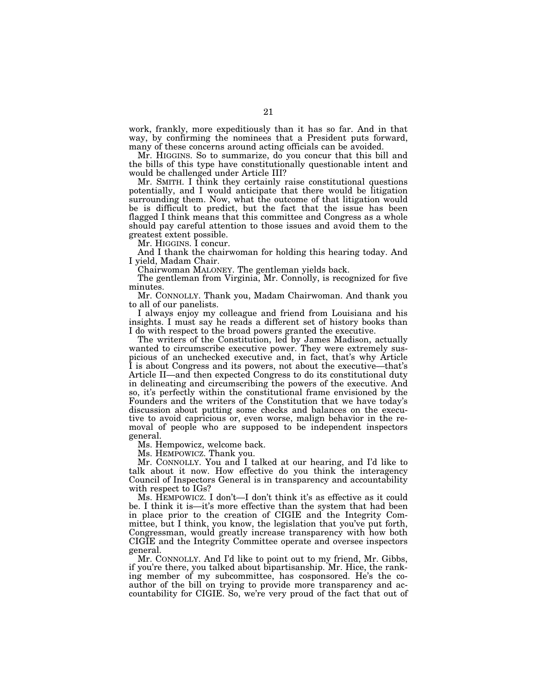work, frankly, more expeditiously than it has so far. And in that way, by confirming the nominees that a President puts forward, many of these concerns around acting officials can be avoided.

Mr. HIGGINS. So to summarize, do you concur that this bill and the bills of this type have constitutionally questionable intent and would be challenged under Article III?

Mr. SMITH. I think they certainly raise constitutional questions potentially, and I would anticipate that there would be litigation surrounding them. Now, what the outcome of that litigation would be is difficult to predict, but the fact that the issue has been flagged I think means that this committee and Congress as a whole should pay careful attention to those issues and avoid them to the greatest extent possible.

Mr. HIGGINS. I concur.

And I thank the chairwoman for holding this hearing today. And I yield, Madam Chair.

Chairwoman MALONEY. The gentleman yields back.

The gentleman from Virginia, Mr. Connolly, is recognized for five minutes.

Mr. CONNOLLY. Thank you, Madam Chairwoman. And thank you to all of our panelists.

I always enjoy my colleague and friend from Louisiana and his insights. I must say he reads a different set of history books than I do with respect to the broad powers granted the executive.

The writers of the Constitution, led by James Madison, actually wanted to circumscribe executive power. They were extremely suspicious of an unchecked executive and, in fact, that's why Article I is about Congress and its powers, not about the executive—that's Article II—and then expected Congress to do its constitutional duty in delineating and circumscribing the powers of the executive. And so, it's perfectly within the constitutional frame envisioned by the Founders and the writers of the Constitution that we have today's discussion about putting some checks and balances on the executive to avoid capricious or, even worse, malign behavior in the removal of people who are supposed to be independent inspectors general.

Ms. Hempowicz, welcome back.

Ms. HEMPOWICZ. Thank you.

Mr. CONNOLLY. You and I talked at our hearing, and I'd like to talk about it now. How effective do you think the interagency Council of Inspectors General is in transparency and accountability with respect to IGs?

Ms. HEMPOWICZ. I don't—I don't think it's as effective as it could be. I think it is—it's more effective than the system that had been in place prior to the creation of CIGIE and the Integrity Committee, but I think, you know, the legislation that you've put forth, Congressman, would greatly increase transparency with how both CIGIE and the Integrity Committee operate and oversee inspectors general.

Mr. CONNOLLY. And I'd like to point out to my friend, Mr. Gibbs, if you're there, you talked about bipartisanship. Mr. Hice, the ranking member of my subcommittee, has cosponsored. He's the coauthor of the bill on trying to provide more transparency and accountability for CIGIE. So, we're very proud of the fact that out of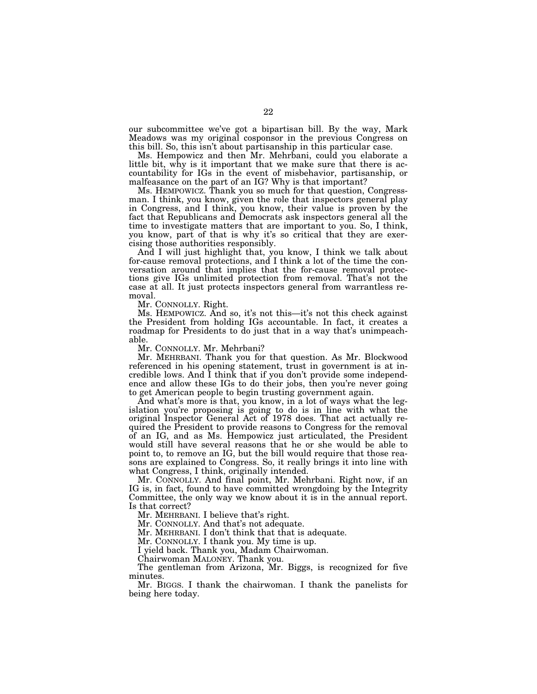our subcommittee we've got a bipartisan bill. By the way, Mark Meadows was my original cosponsor in the previous Congress on this bill. So, this isn't about partisanship in this particular case.

Ms. Hempowicz and then Mr. Mehrbani, could you elaborate a little bit, why is it important that we make sure that there is accountability for IGs in the event of misbehavior, partisanship, or malfeasance on the part of an IG? Why is that important?

Ms. HEMPOWICZ. Thank you so much for that question, Congressman. I think, you know, given the role that inspectors general play in Congress, and I think, you know, their value is proven by the fact that Republicans and Democrats ask inspectors general all the time to investigate matters that are important to you. So, I think, you know, part of that is why it's so critical that they are exercising those authorities responsibly.

And I will just highlight that, you know, I think we talk about for-cause removal protections, and I think a lot of the time the conversation around that implies that the for-cause removal protections give IGs unlimited protection from removal. That's not the case at all. It just protects inspectors general from warrantless removal.

Mr. CONNOLLY. Right.

Ms. HEMPOWICZ. And so, it's not this—it's not this check against the President from holding IGs accountable. In fact, it creates a roadmap for Presidents to do just that in a way that's unimpeachable.

Mr. CONNOLLY. Mr. Mehrbani?

Mr. MEHRBANI. Thank you for that question. As Mr. Blockwood referenced in his opening statement, trust in government is at incredible lows. And I think that if you don't provide some independence and allow these IGs to do their jobs, then you're never going to get American people to begin trusting government again.

And what's more is that, you know, in a lot of ways what the legislation you're proposing is going to do is in line with what the original Inspector General Act of 1978 does. That act actually required the President to provide reasons to Congress for the removal of an IG, and as Ms. Hempowicz just articulated, the President would still have several reasons that he or she would be able to point to, to remove an IG, but the bill would require that those reasons are explained to Congress. So, it really brings it into line with what Congress, I think, originally intended.

Mr. CONNOLLY. And final point, Mr. Mehrbani. Right now, if an IG is, in fact, found to have committed wrongdoing by the Integrity Committee, the only way we know about it is in the annual report. Is that correct?

Mr. MEHRBANI. I believe that's right.

Mr. CONNOLLY. And that's not adequate.

Mr. MEHRBANI. I don't think that that is adequate.

Mr. CONNOLLY. I thank you. My time is up.

I yield back. Thank you, Madam Chairwoman.

Chairwoman MALONEY. Thank you.

The gentleman from Arizona, Mr. Biggs, is recognized for five minutes.

Mr. BIGGS. I thank the chairwoman. I thank the panelists for being here today.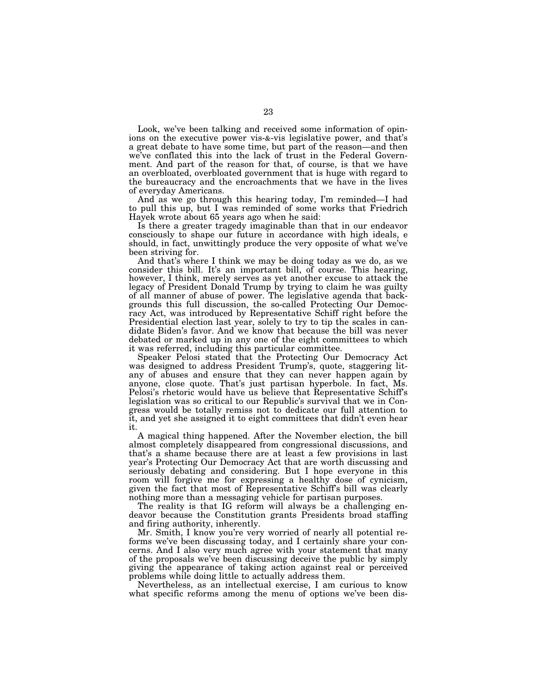Look, we've been talking and received some information of opinions on the executive power vis-&-vis legislative power, and that's a great debate to have some time, but part of the reason—and then we've conflated this into the lack of trust in the Federal Government. And part of the reason for that, of course, is that we have an overbloated, overbloated government that is huge with regard to the bureaucracy and the encroachments that we have in the lives of everyday Americans.

And as we go through this hearing today, I'm reminded—I had to pull this up, but I was reminded of some works that Friedrich Hayek wrote about 65 years ago when he said:

Is there a greater tragedy imaginable than that in our endeavor consciously to shape our future in accordance with high ideals, e should, in fact, unwittingly produce the very opposite of what we've been striving for.

And that's where I think we may be doing today as we do, as we consider this bill. It's an important bill, of course. This hearing, however, I think, merely serves as yet another excuse to attack the legacy of President Donald Trump by trying to claim he was guilty of all manner of abuse of power. The legislative agenda that backgrounds this full discussion, the so-called Protecting Our Democracy Act, was introduced by Representative Schiff right before the Presidential election last year, solely to try to tip the scales in candidate Biden's favor. And we know that because the bill was never debated or marked up in any one of the eight committees to which it was referred, including this particular committee.

Speaker Pelosi stated that the Protecting Our Democracy Act was designed to address President Trump's, quote, staggering litany of abuses and ensure that they can never happen again by anyone, close quote. That's just partisan hyperbole. In fact, Ms. Pelosi's rhetoric would have us believe that Representative Schiff's legislation was so critical to our Republic's survival that we in Congress would be totally remiss not to dedicate our full attention to it, and yet she assigned it to eight committees that didn't even hear it.

A magical thing happened. After the November election, the bill almost completely disappeared from congressional discussions, and that's a shame because there are at least a few provisions in last year's Protecting Our Democracy Act that are worth discussing and seriously debating and considering. But I hope everyone in this room will forgive me for expressing a healthy dose of cynicism, given the fact that most of Representative Schiff's bill was clearly nothing more than a messaging vehicle for partisan purposes.

The reality is that IG reform will always be a challenging endeavor because the Constitution grants Presidents broad staffing and firing authority, inherently.

Mr. Smith, I know you're very worried of nearly all potential reforms we've been discussing today, and I certainly share your concerns. And I also very much agree with your statement that many of the proposals we've been discussing deceive the public by simply giving the appearance of taking action against real or perceived problems while doing little to actually address them.

Nevertheless, as an intellectual exercise, I am curious to know what specific reforms among the menu of options we've been dis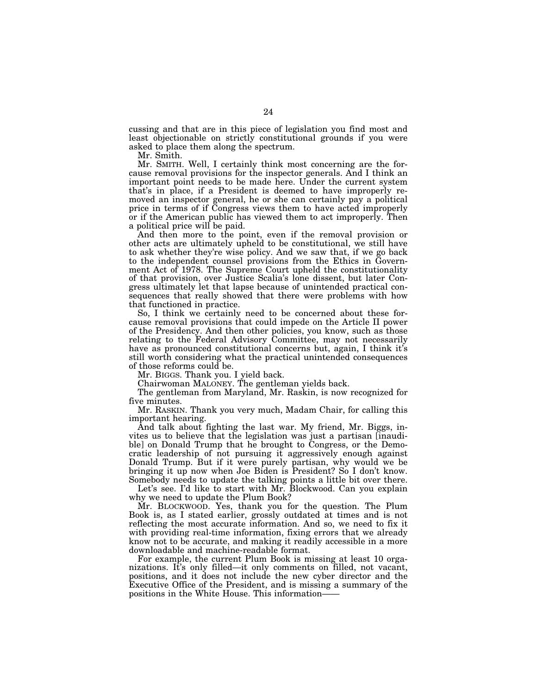cussing and that are in this piece of legislation you find most and least objectionable on strictly constitutional grounds if you were asked to place them along the spectrum.

Mr. Smith.

Mr. SMITH. Well, I certainly think most concerning are the forcause removal provisions for the inspector generals. And I think an important point needs to be made here. Under the current system that's in place, if a President is deemed to have improperly removed an inspector general, he or she can certainly pay a political price in terms of if Congress views them to have acted improperly or if the American public has viewed them to act improperly. Then a political price will be paid.

And then more to the point, even if the removal provision or other acts are ultimately upheld to be constitutional, we still have to ask whether they're wise policy. And we saw that, if we go back to the independent counsel provisions from the Ethics in Government Act of 1978. The Supreme Court upheld the constitutionality of that provision, over Justice Scalia's lone dissent, but later Congress ultimately let that lapse because of unintended practical consequences that really showed that there were problems with how that functioned in practice.

So, I think we certainly need to be concerned about these forcause removal provisions that could impede on the Article II power of the Presidency. And then other policies, you know, such as those relating to the Federal Advisory Committee, may not necessarily have as pronounced constitutional concerns but, again, I think it's still worth considering what the practical unintended consequences of those reforms could be.

Mr. BIGGS. Thank you. I yield back.

Chairwoman MALONEY. The gentleman yields back.

The gentleman from Maryland, Mr. Raskin, is now recognized for five minutes.

Mr. RASKIN. Thank you very much, Madam Chair, for calling this important hearing.

And talk about fighting the last war. My friend, Mr. Biggs, invites us to believe that the legislation was just a partisan [inaudible] on Donald Trump that he brought to Congress, or the Democratic leadership of not pursuing it aggressively enough against Donald Trump. But if it were purely partisan, why would we be bringing it up now when Joe Biden is President? So I don't know. Somebody needs to update the talking points a little bit over there.

Let's see. I'd like to start with Mr. Blockwood. Can you explain why we need to update the Plum Book?

Mr. BLOCKWOOD. Yes, thank you for the question. The Plum Book is, as I stated earlier, grossly outdated at times and is not reflecting the most accurate information. And so, we need to fix it with providing real-time information, fixing errors that we already know not to be accurate, and making it readily accessible in a more downloadable and machine-readable format.

For example, the current Plum Book is missing at least 10 organizations. It's only filled—it only comments on filled, not vacant, positions, and it does not include the new cyber director and the Executive Office of the President, and is missing a summary of the positions in the White House. This information——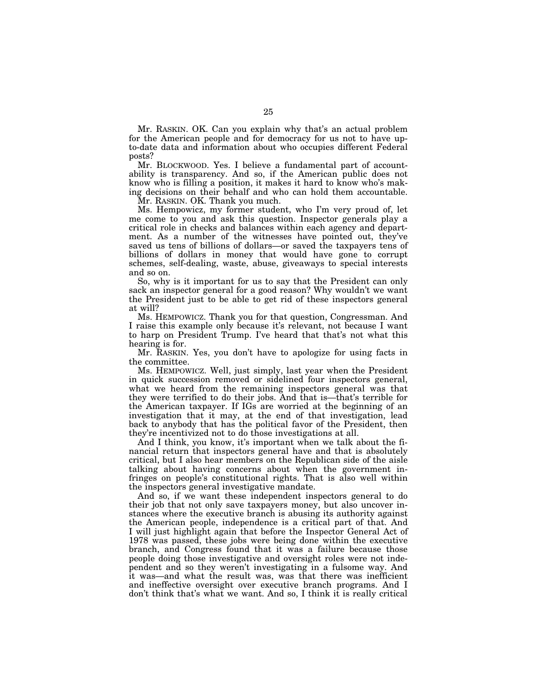Mr. RASKIN. OK. Can you explain why that's an actual problem for the American people and for democracy for us not to have upto-date data and information about who occupies different Federal posts?

Mr. BLOCKWOOD. Yes. I believe a fundamental part of accountability is transparency. And so, if the American public does not know who is filling a position, it makes it hard to know who's making decisions on their behalf and who can hold them accountable.

Mr. RASKIN. OK. Thank you much.

Ms. Hempowicz, my former student, who I'm very proud of, let me come to you and ask this question. Inspector generals play a critical role in checks and balances within each agency and department. As a number of the witnesses have pointed out, they've saved us tens of billions of dollars—or saved the taxpayers tens of billions of dollars in money that would have gone to corrupt schemes, self-dealing, waste, abuse, giveaways to special interests and so on.

So, why is it important for us to say that the President can only sack an inspector general for a good reason? Why wouldn't we want the President just to be able to get rid of these inspectors general at will?

Ms. HEMPOWICZ. Thank you for that question, Congressman. And I raise this example only because it's relevant, not because I want to harp on President Trump. I've heard that that's not what this hearing is for.

Mr. RASKIN. Yes, you don't have to apologize for using facts in the committee.

Ms. HEMPOWICZ. Well, just simply, last year when the President in quick succession removed or sidelined four inspectors general, what we heard from the remaining inspectors general was that they were terrified to do their jobs. And that is—that's terrible for the American taxpayer. If IGs are worried at the beginning of an investigation that it may, at the end of that investigation, lead back to anybody that has the political favor of the President, then they're incentivized not to do those investigations at all.

And I think, you know, it's important when we talk about the financial return that inspectors general have and that is absolutely critical, but I also hear members on the Republican side of the aisle talking about having concerns about when the government infringes on people's constitutional rights. That is also well within the inspectors general investigative mandate.

And so, if we want these independent inspectors general to do their job that not only save taxpayers money, but also uncover instances where the executive branch is abusing its authority against the American people, independence is a critical part of that. And I will just highlight again that before the Inspector General Act of 1978 was passed, these jobs were being done within the executive branch, and Congress found that it was a failure because those people doing those investigative and oversight roles were not independent and so they weren't investigating in a fulsome way. And it was—and what the result was, was that there was inefficient and ineffective oversight over executive branch programs. And I don't think that's what we want. And so, I think it is really critical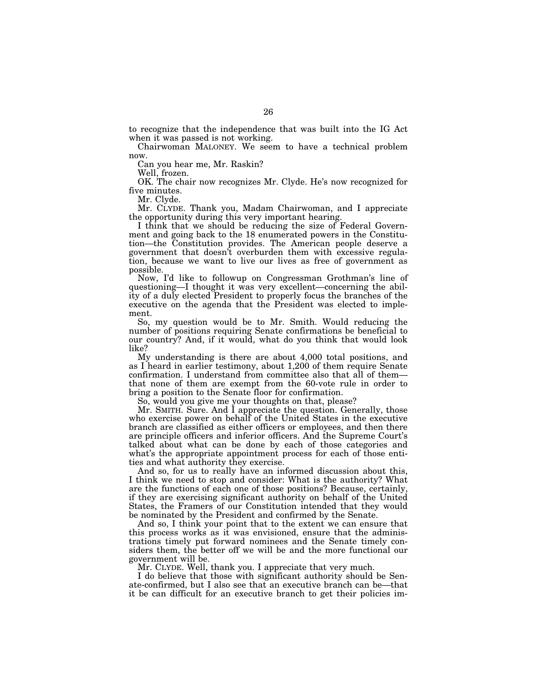to recognize that the independence that was built into the IG Act when it was passed is not working.

Chairwoman MALONEY. We seem to have a technical problem now.

Can you hear me, Mr. Raskin?

Well, frozen.

OK. The chair now recognizes Mr. Clyde. He's now recognized for five minutes.

Mr. Clyde.

Mr. CLYDE. Thank you, Madam Chairwoman, and I appreciate the opportunity during this very important hearing.

I think that we should be reducing the size of Federal Government and going back to the 18 enumerated powers in the Constitution—the Constitution provides. The American people deserve a government that doesn't overburden them with excessive regulation, because we want to live our lives as free of government as possible.

Now, I'd like to followup on Congressman Grothman's line of questioning—I thought it was very excellent—concerning the ability of a duly elected President to properly focus the branches of the executive on the agenda that the President was elected to implement.

So, my question would be to Mr. Smith. Would reducing the number of positions requiring Senate confirmations be beneficial to our country? And, if it would, what do you think that would look like?

My understanding is there are about 4,000 total positions, and as I heard in earlier testimony, about 1,200 of them require Senate confirmation. I understand from committee also that all of them that none of them are exempt from the 60-vote rule in order to bring a position to the Senate floor for confirmation.

So, would you give me your thoughts on that, please?

Mr. SMITH. Sure. And I appreciate the question. Generally, those who exercise power on behalf of the United States in the executive branch are classified as either officers or employees, and then there are principle officers and inferior officers. And the Supreme Court's talked about what can be done by each of those categories and what's the appropriate appointment process for each of those entities and what authority they exercise.

And so, for us to really have an informed discussion about this, I think we need to stop and consider: What is the authority? What are the functions of each one of those positions? Because, certainly, if they are exercising significant authority on behalf of the United States, the Framers of our Constitution intended that they would be nominated by the President and confirmed by the Senate.

And so, I think your point that to the extent we can ensure that this process works as it was envisioned, ensure that the administrations timely put forward nominees and the Senate timely considers them, the better off we will be and the more functional our government will be.

Mr. CLYDE. Well, thank you. I appreciate that very much.

I do believe that those with significant authority should be Senate-confirmed, but I also see that an executive branch can be—that it be can difficult for an executive branch to get their policies im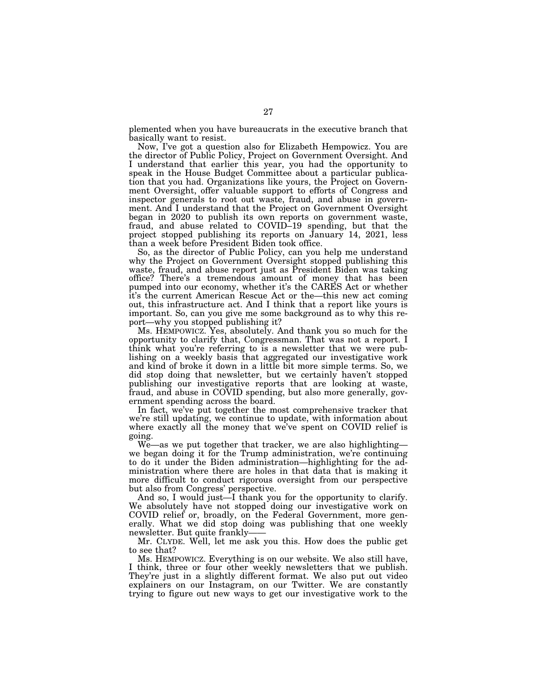plemented when you have bureaucrats in the executive branch that basically want to resist.

Now, I've got a question also for Elizabeth Hempowicz. You are the director of Public Policy, Project on Government Oversight. And I understand that earlier this year, you had the opportunity to speak in the House Budget Committee about a particular publication that you had. Organizations like yours, the Project on Government Oversight, offer valuable support to efforts of Congress and inspector generals to root out waste, fraud, and abuse in government. And I understand that the Project on Government Oversight began in 2020 to publish its own reports on government waste, fraud, and abuse related to COVID–19 spending, but that the project stopped publishing its reports on January 14, 2021, less than a week before President Biden took office.

So, as the director of Public Policy, can you help me understand why the Project on Government Oversight stopped publishing this waste, fraud, and abuse report just as President Biden was taking office? There's a tremendous amount of money that has been pumped into our economy, whether it's the CARES Act or whether it's the current American Rescue Act or the—this new act coming out, this infrastructure act. And I think that a report like yours is important. So, can you give me some background as to why this report—why you stopped publishing it?

Ms. HEMPOWICZ. Yes, absolutely. And thank you so much for the opportunity to clarify that, Congressman. That was not a report. I think what you're referring to is a newsletter that we were publishing on a weekly basis that aggregated our investigative work and kind of broke it down in a little bit more simple terms. So, we did stop doing that newsletter, but we certainly haven't stopped publishing our investigative reports that are looking at waste, fraud, and abuse in COVID spending, but also more generally, government spending across the board.

In fact, we've put together the most comprehensive tracker that we're still updating, we continue to update, with information about where exactly all the money that we've spent on COVID relief is going.

We—as we put together that tracker, we are also highlighting we began doing it for the Trump administration, we're continuing to do it under the Biden administration—highlighting for the administration where there are holes in that data that is making it more difficult to conduct rigorous oversight from our perspective but also from Congress' perspective.

And so, I would just—I thank you for the opportunity to clarify. We absolutely have not stopped doing our investigative work on COVID relief or, broadly, on the Federal Government, more generally. What we did stop doing was publishing that one weekly newsletter. But quite frankly——

Mr. CLYDE. Well, let me ask you this. How does the public get to see that?

Ms. HEMPOWICZ. Everything is on our website. We also still have, I think, three or four other weekly newsletters that we publish. They're just in a slightly different format. We also put out video explainers on our Instagram, on our Twitter. We are constantly trying to figure out new ways to get our investigative work to the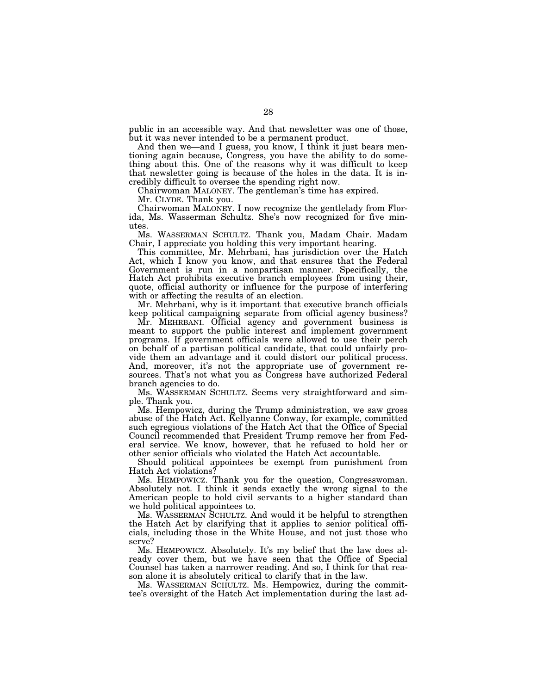public in an accessible way. And that newsletter was one of those, but it was never intended to be a permanent product.

And then we—and I guess, you know, I think it just bears mentioning again because, Congress, you have the ability to do something about this. One of the reasons why it was difficult to keep that newsletter going is because of the holes in the data. It is incredibly difficult to oversee the spending right now.

Chairwoman MALONEY. The gentleman's time has expired.

Mr. CLYDE. Thank you.

Chairwoman MALONEY. I now recognize the gentlelady from Florida, Ms. Wasserman Schultz. She's now recognized for five minutes.

Ms. WASSERMAN SCHULTZ. Thank you, Madam Chair. Madam Chair, I appreciate you holding this very important hearing.

This committee, Mr. Mehrbani, has jurisdiction over the Hatch Act, which I know you know, and that ensures that the Federal Government is run in a nonpartisan manner. Specifically, the Hatch Act prohibits executive branch employees from using their, quote, official authority or influence for the purpose of interfering with or affecting the results of an election.

Mr. Mehrbani, why is it important that executive branch officials keep political campaigning separate from official agency business?

Mr. MEHRBANI. Official agency and government business is meant to support the public interest and implement government programs. If government officials were allowed to use their perch on behalf of a partisan political candidate, that could unfairly provide them an advantage and it could distort our political process. And, moreover, it's not the appropriate use of government resources. That's not what you as Congress have authorized Federal branch agencies to do.

Ms. WASSERMAN SCHULTZ. Seems very straightforward and simple. Thank you.

Ms. Hempowicz, during the Trump administration, we saw gross abuse of the Hatch Act. Kellyanne Conway, for example, committed such egregious violations of the Hatch Act that the Office of Special Council recommended that President Trump remove her from Federal service. We know, however, that he refused to hold her or other senior officials who violated the Hatch Act accountable.

Should political appointees be exempt from punishment from Hatch Act violations?

Ms. HEMPOWICZ. Thank you for the question, Congresswoman. Absolutely not. I think it sends exactly the wrong signal to the American people to hold civil servants to a higher standard than we hold political appointees to.

Ms. WASSERMAN SCHULTZ. And would it be helpful to strengthen the Hatch Act by clarifying that it applies to senior political officials, including those in the White House, and not just those who serve?

Ms. HEMPOWICZ. Absolutely. It's my belief that the law does already cover them, but we have seen that the Office of Special Counsel has taken a narrower reading. And so, I think for that reason alone it is absolutely critical to clarify that in the law.

Ms. WASSERMAN SCHULTZ. Ms. Hempowicz, during the committee's oversight of the Hatch Act implementation during the last ad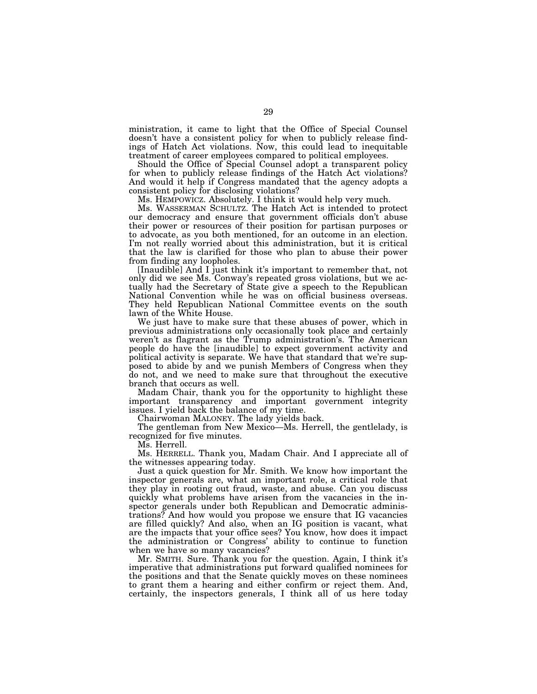ministration, it came to light that the Office of Special Counsel doesn't have a consistent policy for when to publicly release findings of Hatch Act violations. Now, this could lead to inequitable treatment of career employees compared to political employees.

Should the Office of Special Counsel adopt a transparent policy for when to publicly release findings of the Hatch Act violations? And would it help if Congress mandated that the agency adopts a consistent policy for disclosing violations?

Ms. HEMPOWICZ. Absolutely. I think it would help very much.

Ms. WASSERMAN SCHULTZ. The Hatch Act is intended to protect our democracy and ensure that government officials don't abuse their power or resources of their position for partisan purposes or to advocate, as you both mentioned, for an outcome in an election. I'm not really worried about this administration, but it is critical that the law is clarified for those who plan to abuse their power from finding any loopholes.

[Inaudible] And I just think it's important to remember that, not only did we see Ms. Conway's repeated gross violations, but we actually had the Secretary of State give a speech to the Republican National Convention while he was on official business overseas. They held Republican National Committee events on the south lawn of the White House.

We just have to make sure that these abuses of power, which in previous administrations only occasionally took place and certainly weren't as flagrant as the Trump administration's. The American people do have the [inaudible] to expect government activity and political activity is separate. We have that standard that we're supposed to abide by and we punish Members of Congress when they do not, and we need to make sure that throughout the executive branch that occurs as well.

Madam Chair, thank you for the opportunity to highlight these important transparency and important government integrity issues. I yield back the balance of my time.

Chairwoman MALONEY. The lady yields back.

The gentleman from New Mexico—Ms. Herrell, the gentlelady, is recognized for five minutes.

Ms. Herrell.

Ms. HERRELL. Thank you, Madam Chair. And I appreciate all of the witnesses appearing today.

Just a quick question for Mr. Smith. We know how important the inspector generals are, what an important role, a critical role that they play in rooting out fraud, waste, and abuse. Can you discuss quickly what problems have arisen from the vacancies in the inspector generals under both Republican and Democratic administrations? And how would you propose we ensure that IG vacancies are filled quickly? And also, when an IG position is vacant, what are the impacts that your office sees? You know, how does it impact the administration or Congress' ability to continue to function when we have so many vacancies?

Mr. SMITH. Sure. Thank you for the question. Again, I think it's imperative that administrations put forward qualified nominees for the positions and that the Senate quickly moves on these nominees to grant them a hearing and either confirm or reject them. And, certainly, the inspectors generals, I think all of us here today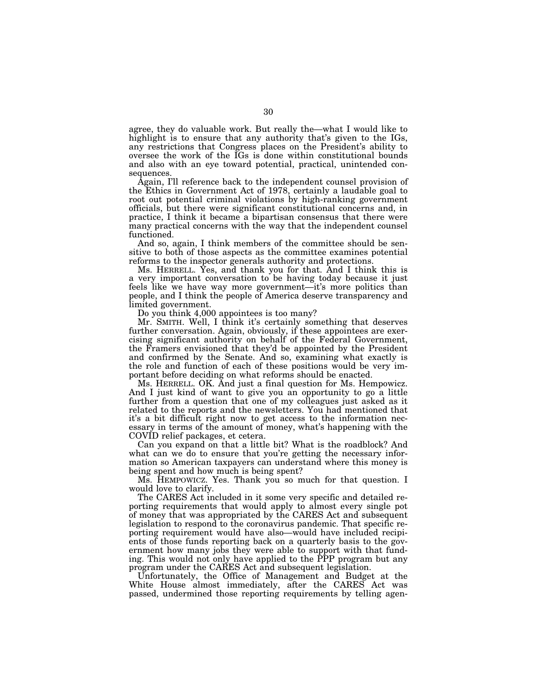agree, they do valuable work. But really the—what I would like to highlight is to ensure that any authority that's given to the IGs, any restrictions that Congress places on the President's ability to oversee the work of the IGs is done within constitutional bounds and also with an eye toward potential, practical, unintended consequences.

Again, I'll reference back to the independent counsel provision of the Ethics in Government Act of 1978, certainly a laudable goal to root out potential criminal violations by high-ranking government officials, but there were significant constitutional concerns and, in practice, I think it became a bipartisan consensus that there were many practical concerns with the way that the independent counsel functioned.

And so, again, I think members of the committee should be sensitive to both of those aspects as the committee examines potential reforms to the inspector generals authority and protections.

Ms. HERRELL. Yes, and thank you for that. And I think this is a very important conversation to be having today because it just feels like we have way more government—it's more politics than people, and I think the people of America deserve transparency and limited government.

Do you think 4,000 appointees is too many?

Mr. SMITH. Well, I think it's certainly something that deserves further conversation. Again, obviously, if these appointees are exercising significant authority on behalf of the Federal Government, the Framers envisioned that they'd be appointed by the President and confirmed by the Senate. And so, examining what exactly is the role and function of each of these positions would be very important before deciding on what reforms should be enacted.

Ms. HERRELL. OK. And just a final question for Ms. Hempowicz. And I just kind of want to give you an opportunity to go a little further from a question that one of my colleagues just asked as it related to the reports and the newsletters. You had mentioned that it's a bit difficult right now to get access to the information necessary in terms of the amount of money, what's happening with the COVID relief packages, et cetera.

Can you expand on that a little bit? What is the roadblock? And what can we do to ensure that you're getting the necessary information so American taxpayers can understand where this money is being spent and how much is being spent?

Ms. HEMPOWICZ. Yes. Thank you so much for that question. I would love to clarify.

The CARES Act included in it some very specific and detailed reporting requirements that would apply to almost every single pot of money that was appropriated by the CARES Act and subsequent legislation to respond to the coronavirus pandemic. That specific reporting requirement would have also—would have included recipients of those funds reporting back on a quarterly basis to the government how many jobs they were able to support with that funding. This would not only have applied to the PPP program but any program under the CARES Act and subsequent legislation.

Unfortunately, the Office of Management and Budget at the White House almost immediately, after the CARES Act was passed, undermined those reporting requirements by telling agen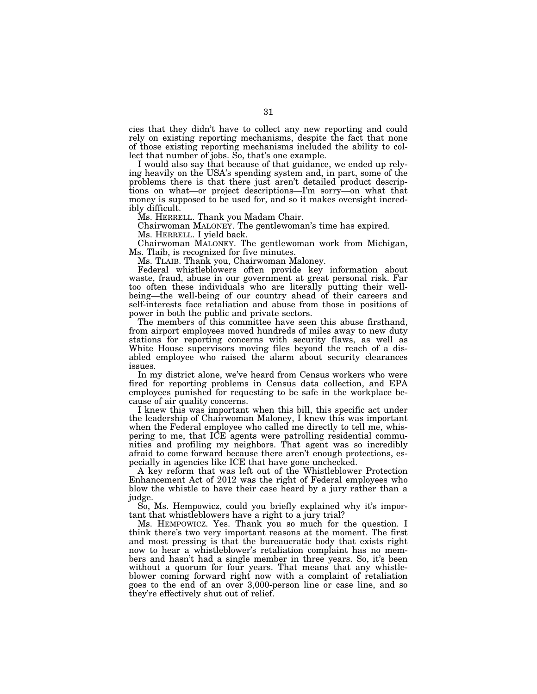cies that they didn't have to collect any new reporting and could rely on existing reporting mechanisms, despite the fact that none of those existing reporting mechanisms included the ability to collect that number of jobs. So, that's one example.

I would also say that because of that guidance, we ended up relying heavily on the USA's spending system and, in part, some of the problems there is that there just aren't detailed product descriptions on what—or project descriptions—I'm sorry—on what that money is supposed to be used for, and so it makes oversight incredibly difficult.

Ms. HERRELL. Thank you Madam Chair.

Chairwoman MALONEY. The gentlewoman's time has expired.

Ms. HERRELL. I yield back.

Chairwoman MALONEY. The gentlewoman work from Michigan, Ms. Tlaib, is recognized for five minutes.

Ms. TLAIB. Thank you, Chairwoman Maloney.

Federal whistleblowers often provide key information about waste, fraud, abuse in our government at great personal risk. Far too often these individuals who are literally putting their wellbeing—the well-being of our country ahead of their careers and self-interests face retaliation and abuse from those in positions of power in both the public and private sectors.

The members of this committee have seen this abuse firsthand, from airport employees moved hundreds of miles away to new duty stations for reporting concerns with security flaws, as well as White House supervisors moving files beyond the reach of a disabled employee who raised the alarm about security clearances issues.

In my district alone, we've heard from Census workers who were fired for reporting problems in Census data collection, and EPA employees punished for requesting to be safe in the workplace because of air quality concerns.

I knew this was important when this bill, this specific act under the leadership of Chairwoman Maloney, I knew this was important when the Federal employee who called me directly to tell me, whispering to me, that ICE agents were patrolling residential communities and profiling my neighbors. That agent was so incredibly afraid to come forward because there aren't enough protections, especially in agencies like ICE that have gone unchecked.

A key reform that was left out of the Whistleblower Protection Enhancement Act of 2012 was the right of Federal employees who blow the whistle to have their case heard by a jury rather than a judge.

So, Ms. Hempowicz, could you briefly explained why it's important that whistleblowers have a right to a jury trial?

Ms. HEMPOWICZ. Yes. Thank you so much for the question. I think there's two very important reasons at the moment. The first and most pressing is that the bureaucratic body that exists right now to hear a whistleblower's retaliation complaint has no members and hasn't had a single member in three years. So, it's been without a quorum for four years. That means that any whistleblower coming forward right now with a complaint of retaliation goes to the end of an over 3,000-person line or case line, and so they're effectively shut out of relief.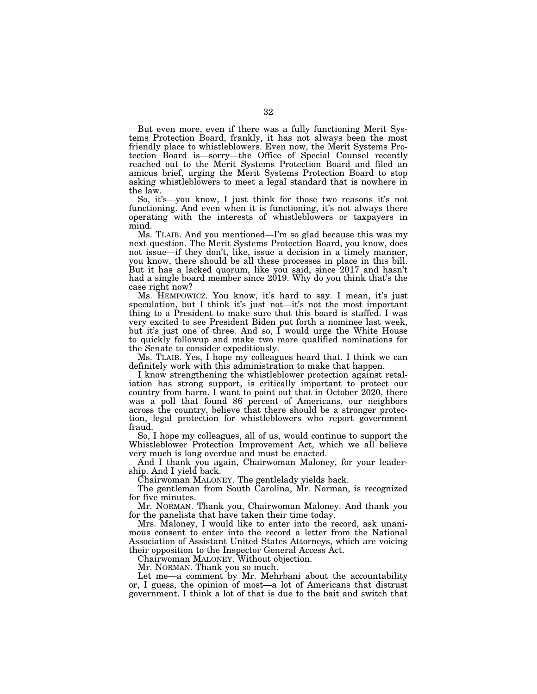But even more, even if there was a fully functioning Merit Systems Protection Board, frankly, it has not always been the most friendly place to whistleblowers. Even now, the Merit Systems Protection Board is—sorry—the Office of Special Counsel recently reached out to the Merit Systems Protection Board and filed an amicus brief, urging the Merit Systems Protection Board to stop asking whistleblowers to meet a legal standard that is nowhere in the law.

So, it's—you know, I just think for those two reasons it's not functioning. And even when it is functioning, it's not always there operating with the interests of whistleblowers or taxpayers in mind.

Ms. TLAIB. And you mentioned—I'm so glad because this was my next question. The Merit Systems Protection Board, you know, does not issue—if they don't, like, issue a decision in a timely manner, you know, there should be all these processes in place in this bill. But it has a lacked quorum, like you said, since 2017 and hasn't had a single board member since 2019. Why do you think that's the case right now?

Ms. HEMPOWICZ. You know, it's hard to say. I mean, it's just speculation, but I think it's just not—it's not the most important thing to a President to make sure that this board is staffed. I was very excited to see President Biden put forth a nominee last week, but it's just one of three. And so, I would urge the White House to quickly followup and make two more qualified nominations for the Senate to consider expeditiously.

Ms. TLAIB. Yes, I hope my colleagues heard that. I think we can definitely work with this administration to make that happen.

I know strengthening the whistleblower protection against retaliation has strong support, is critically important to protect our country from harm. I want to point out that in October 2020, there was a poll that found 86 percent of Americans, our neighbors across the country, believe that there should be a stronger protection, legal protection for whistleblowers who report government fraud.

So, I hope my colleagues, all of us, would continue to support the Whistleblower Protection Improvement Act, which we all believe very much is long overdue and must be enacted.

And I thank you again, Chairwoman Maloney, for your leadership. And I yield back.

Chairwoman MALONEY. The gentlelady yields back.

The gentleman from South Carolina, Mr. Norman, is recognized for five minutes.

Mr. NORMAN. Thank you, Chairwoman Maloney. And thank you for the panelists that have taken their time today.

Mrs. Maloney, I would like to enter into the record, ask unanimous consent to enter into the record a letter from the National Association of Assistant United States Attorneys, which are voicing their opposition to the Inspector General Access Act.

Chairwoman MALONEY. Without objection.

Mr. NORMAN. Thank you so much.

Let me—a comment by Mr. Mehrbani about the accountability or, I guess, the opinion of most—a lot of Americans that distrust government. I think a lot of that is due to the bait and switch that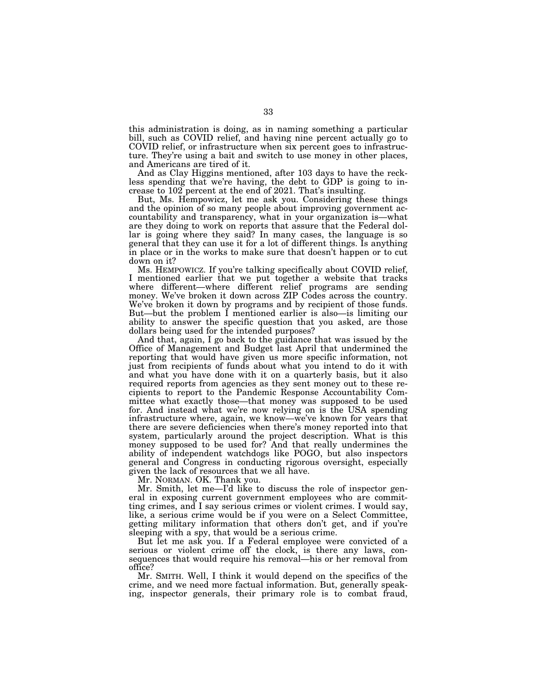this administration is doing, as in naming something a particular bill, such as COVID relief, and having nine percent actually go to COVID relief, or infrastructure when six percent goes to infrastructure. They're using a bait and switch to use money in other places, and Americans are tired of it.

And as Clay Higgins mentioned, after 103 days to have the reckless spending that we're having, the debt to GDP is going to increase to 102 percent at the end of 2021. That's insulting.

But, Ms. Hempowicz, let me ask you. Considering these things and the opinion of so many people about improving government accountability and transparency, what in your organization is—what are they doing to work on reports that assure that the Federal dollar is going where they said? In many cases, the language is so general that they can use it for a lot of different things. Is anything in place or in the works to make sure that doesn't happen or to cut down on it?

Ms. HEMPOWICZ. If you're talking specifically about COVID relief, I mentioned earlier that we put together a website that tracks where different—where different relief programs are sending money. We've broken it down across ZIP Codes across the country. We've broken it down by programs and by recipient of those funds. But—but the problem I mentioned earlier is also—is limiting our ability to answer the specific question that you asked, are those dollars being used for the intended purposes?

And that, again, I go back to the guidance that was issued by the Office of Management and Budget last April that undermined the reporting that would have given us more specific information, not just from recipients of funds about what you intend to do it with and what you have done with it on a quarterly basis, but it also required reports from agencies as they sent money out to these recipients to report to the Pandemic Response Accountability Committee what exactly those—that money was supposed to be used for. And instead what we're now relying on is the USA spending infrastructure where, again, we know—we've known for years that there are severe deficiencies when there's money reported into that system, particularly around the project description. What is this money supposed to be used for? And that really undermines the ability of independent watchdogs like POGO, but also inspectors general and Congress in conducting rigorous oversight, especially given the lack of resources that we all have.

Mr. NORMAN. OK. Thank you.

Mr. Smith, let me—I'd like to discuss the role of inspector general in exposing current government employees who are committing crimes, and I say serious crimes or violent crimes. I would say, like, a serious crime would be if you were on a Select Committee, getting military information that others don't get, and if you're sleeping with a spy, that would be a serious crime.

But let me ask you. If a Federal employee were convicted of a serious or violent crime off the clock, is there any laws, consequences that would require his removal—his or her removal from office?

Mr. SMITH. Well, I think it would depend on the specifics of the crime, and we need more factual information. But, generally speaking, inspector generals, their primary role is to combat fraud,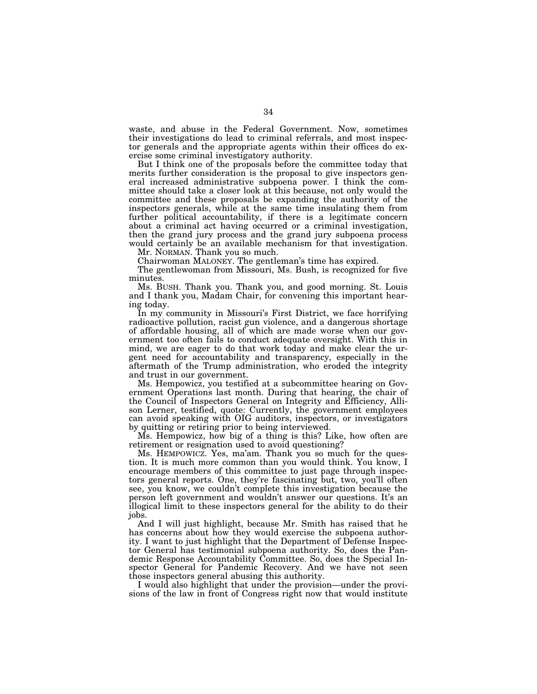waste, and abuse in the Federal Government. Now, sometimes their investigations do lead to criminal referrals, and most inspector generals and the appropriate agents within their offices do exercise some criminal investigatory authority.

But I think one of the proposals before the committee today that merits further consideration is the proposal to give inspectors general increased administrative subpoena power. I think the committee should take a closer look at this because, not only would the committee and these proposals be expanding the authority of the inspectors generals, while at the same time insulating them from further political accountability, if there is a legitimate concern about a criminal act having occurred or a criminal investigation, then the grand jury process and the grand jury subpoena process would certainly be an available mechanism for that investigation.

Mr. NORMAN. Thank you so much.

Chairwoman MALONEY. The gentleman's time has expired.

The gentlewoman from Missouri, Ms. Bush, is recognized for five minutes.

Ms. BUSH. Thank you. Thank you, and good morning. St. Louis and I thank you, Madam Chair, for convening this important hearing today.

In my community in Missouri's First District, we face horrifying radioactive pollution, racist gun violence, and a dangerous shortage of affordable housing, all of which are made worse when our government too often fails to conduct adequate oversight. With this in mind, we are eager to do that work today and make clear the urgent need for accountability and transparency, especially in the aftermath of the Trump administration, who eroded the integrity and trust in our government.

Ms. Hempowicz, you testified at a subcommittee hearing on Government Operations last month. During that hearing, the chair of the Council of Inspectors General on Integrity and Efficiency, Allison Lerner, testified, quote: Currently, the government employees can avoid speaking with OIG auditors, inspectors, or investigators by quitting or retiring prior to being interviewed.

Ms. Hempowicz, how big of a thing is this? Like, how often are retirement or resignation used to avoid questioning?

Ms. HEMPOWICZ. Yes, ma'am. Thank you so much for the question. It is much more common than you would think. You know, I encourage members of this committee to just page through inspectors general reports. One, they're fascinating but, two, you'll often see, you know, we couldn't complete this investigation because the person left government and wouldn't answer our questions. It's an illogical limit to these inspectors general for the ability to do their jobs.

And I will just highlight, because Mr. Smith has raised that he has concerns about how they would exercise the subpoena authority. I want to just highlight that the Department of Defense Inspector General has testimonial subpoena authority. So, does the Pandemic Response Accountability Committee. So, does the Special Inspector General for Pandemic Recovery. And we have not seen those inspectors general abusing this authority.

I would also highlight that under the provision—under the provisions of the law in front of Congress right now that would institute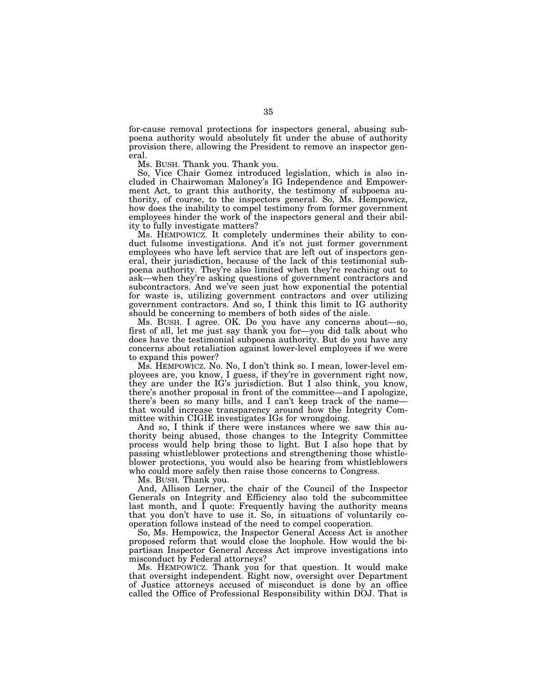for-cause removal protections for inspectors general, abusing subpoena authority would absolutely fit under the abuse of authority provision there, allowing the President to remove an inspector general.

Ms. BUSH. Thank you. Thank you.

So, Vice Chair Gomez introduced legislation, which is also included in Chairwoman Maloney's IG Independence and Empowerment Act, to grant this authority, the testimony of subpoena authority, of course, to the inspectors general. So, Ms. Hempowicz, how does the inability to compel testimony from former government employees hinder the work of the inspectors general and their ability to fully investigate matters?

Ms. HEMPOWICZ. It completely undermines their ability to conduct fulsome investigations. And it's not just former government employees who have left service that are left out of inspectors general, their jurisdiction, because of the lack of this testimonial subpoena authority. They're also limited when they're reaching out to ask—when they're asking questions of government contractors and subcontractors. And we've seen just how exponential the potential for waste is, utilizing government contractors and over utilizing government contractors. And so, I think this limit to IG authority should be concerning to members of both sides of the aisle.

Ms. BUSH. I agree. OK. Do you have any concerns about—so, first of all, let me just say thank you for—you did talk about who does have the testimonial subpoena authority. But do you have any concerns about retaliation against lower-level employees if we were to expand this power?

Ms. HEMPOWICZ. No. No, I don't think so. I mean, lower-level employees are, you know, I guess, if they're in government right now, they are under the IG's jurisdiction. But I also think, you know, there's another proposal in front of the committee—and I apologize, there's been so many bills, and I can't keep track of the name that would increase transparency around how the Integrity Committee within CIGIE investigates IGs for wrongdoing.

And so, I think if there were instances where we saw this authority being abused, those changes to the Integrity Committee process would help bring those to light. But I also hope that by passing whistleblower protections and strengthening those whistleblower protections, you would also be hearing from whistleblowers who could more safely then raise those concerns to Congress.

Ms. BUSH. Thank you.

And, Allison Lerner, the chair of the Council of the Inspector Generals on Integrity and Efficiency also told the subcommittee last month, and I quote: Frequently having the authority means that you don't have to use it. So, in situations of voluntarily cooperation follows instead of the need to compel cooperation.

So, Ms. Hempowicz, the Inspector General Access Act is another proposed reform that would close the loophole. How would the bipartisan Inspector General Access Act improve investigations into misconduct by Federal attorneys?

Ms. HEMPOWICZ. Thank you for that question. It would make that oversight independent. Right now, oversight over Department of Justice attorneys accused of misconduct is done by an office called the Office of Professional Responsibility within DOJ. That is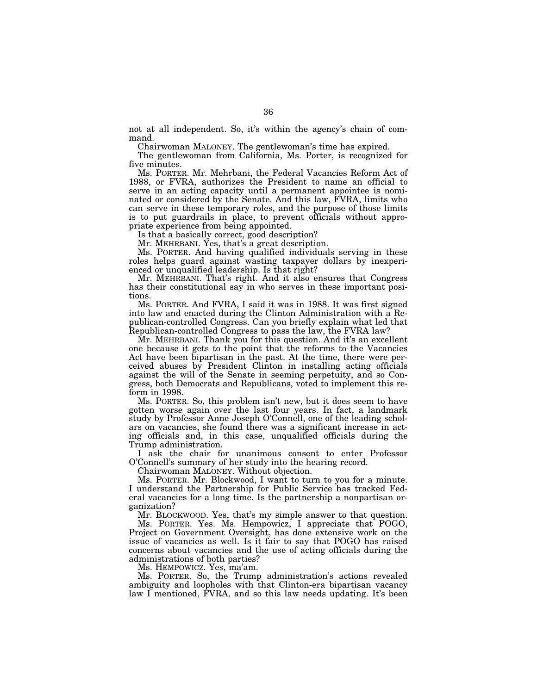not at all independent. So, it's within the agency's chain of command.

Chairwoman MALONEY. The gentlewoman's time has expired.

The gentlewoman from California, Ms. Porter, is recognized for five minutes.

Ms. PORTER. Mr. Mehrbani, the Federal Vacancies Reform Act of 1988, or FVRA, authorizes the President to name an official to serve in an acting capacity until a permanent appointee is nominated or considered by the Senate. And this law, FVRA, limits who can serve in these temporary roles, and the purpose of those limits is to put guardrails in place, to prevent officials without appropriate experience from being appointed.

Is that a basically correct, good description?

Mr. MEHRBANI. Yes, that's a great description.

Ms. PORTER. And having qualified individuals serving in these roles helps guard against wasting taxpayer dollars by inexperienced or unqualified leadership. Is that right?

Mr. MEHRBANI. That's right. And it also ensures that Congress has their constitutional say in who serves in these important positions.

Ms. PORTER. And FVRA, I said it was in 1988. It was first signed into law and enacted during the Clinton Administration with a Republican-controlled Congress. Can you briefly explain what led that Republican-controlled Congress to pass the law, the FVRA law?

Mr. MEHRBANI. Thank you for this question. And it's an excellent one because it gets to the point that the reforms to the Vacancies Act have been bipartisan in the past. At the time, there were perceived abuses by President Clinton in installing acting officials against the will of the Senate in seeming perpetuity, and so Congress, both Democrats and Republicans, voted to implement this reform in 1998.

Ms. PORTER. So, this problem isn't new, but it does seem to have gotten worse again over the last four years. In fact, a landmark study by Professor Anne Joseph O'Connell, one of the leading scholars on vacancies, she found there was a significant increase in acting officials and, in this case, unqualified officials during the Trump administration.

I ask the chair for unanimous consent to enter Professor O'Connell's summary of her study into the hearing record.

Chairwoman MALONEY. Without objection.

Ms. PORTER. Mr. Blockwood, I want to turn to you for a minute. I understand the Partnership for Public Service has tracked Federal vacancies for a long time. Is the partnership a nonpartisan organization?

Mr. BLOCKWOOD. Yes, that's my simple answer to that question.

Ms. PORTER. Yes. Ms. Hempowicz, I appreciate that POGO, Project on Government Oversight, has done extensive work on the issue of vacancies as well. Is it fair to say that POGO has raised concerns about vacancies and the use of acting officials during the administrations of both parties?

Ms. HEMPOWICZ. Yes, ma'am.

Ms. PORTER. So, the Trump administration's actions revealed ambiguity and loopholes with that Clinton-era bipartisan vacancy law I mentioned, FVRA, and so this law needs updating. It's been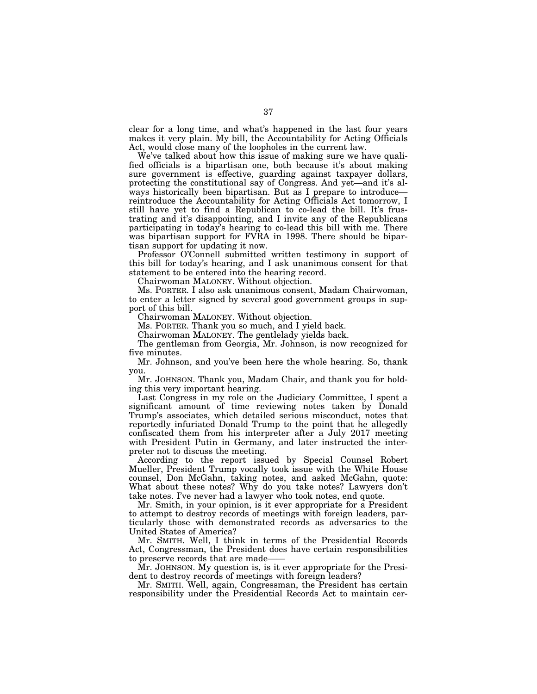clear for a long time, and what's happened in the last four years makes it very plain. My bill, the Accountability for Acting Officials Act, would close many of the loopholes in the current law.

We've talked about how this issue of making sure we have qualified officials is a bipartisan one, both because it's about making sure government is effective, guarding against taxpayer dollars, protecting the constitutional say of Congress. And yet—and it's always historically been bipartisan. But as I prepare to introduce reintroduce the Accountability for Acting Officials Act tomorrow, I still have yet to find a Republican to co-lead the bill. It's frustrating and it's disappointing, and I invite any of the Republicans participating in today's hearing to co-lead this bill with me. There was bipartisan support for FVRA in 1998. There should be bipartisan support for updating it now.

Professor O'Connell submitted written testimony in support of this bill for today's hearing, and I ask unanimous consent for that statement to be entered into the hearing record.

Chairwoman MALONEY. Without objection.

Ms. PORTER. I also ask unanimous consent, Madam Chairwoman, to enter a letter signed by several good government groups in support of this bill.

Chairwoman MALONEY. Without objection.

Ms. PORTER. Thank you so much, and I yield back.

Chairwoman MALONEY. The gentlelady yields back.

The gentleman from Georgia, Mr. Johnson, is now recognized for five minutes.

Mr. Johnson, and you've been here the whole hearing. So, thank you.

Mr. JOHNSON. Thank you, Madam Chair, and thank you for holding this very important hearing.

Last Congress in my role on the Judiciary Committee, I spent a significant amount of time reviewing notes taken by Donald Trump's associates, which detailed serious misconduct, notes that reportedly infuriated Donald Trump to the point that he allegedly confiscated them from his interpreter after a July 2017 meeting with President Putin in Germany, and later instructed the interpreter not to discuss the meeting.

According to the report issued by Special Counsel Robert Mueller, President Trump vocally took issue with the White House counsel, Don McGahn, taking notes, and asked McGahn, quote: What about these notes? Why do you take notes? Lawyers don't take notes. I've never had a lawyer who took notes, end quote.

Mr. Smith, in your opinion, is it ever appropriate for a President to attempt to destroy records of meetings with foreign leaders, particularly those with demonstrated records as adversaries to the United States of America?

Mr. SMITH. Well, I think in terms of the Presidential Records Act, Congressman, the President does have certain responsibilities to preserve records that are made-

Mr. JOHNSON. My question is, is it ever appropriate for the President to destroy records of meetings with foreign leaders?

Mr. SMITH. Well, again, Congressman, the President has certain responsibility under the Presidential Records Act to maintain cer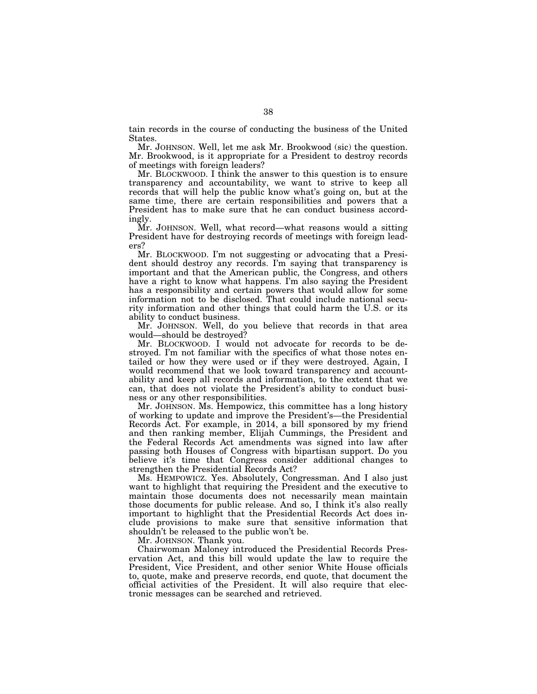tain records in the course of conducting the business of the United States.

Mr. JOHNSON. Well, let me ask Mr. Brookwood (sic) the question. Mr. Brookwood, is it appropriate for a President to destroy records of meetings with foreign leaders?

Mr. BLOCKWOOD. I think the answer to this question is to ensure transparency and accountability, we want to strive to keep all records that will help the public know what's going on, but at the same time, there are certain responsibilities and powers that a President has to make sure that he can conduct business accordingly.

Mr. JOHNSON. Well, what record—what reasons would a sitting President have for destroying records of meetings with foreign leaders?

Mr. BLOCKWOOD. I'm not suggesting or advocating that a President should destroy any records. I'm saying that transparency is important and that the American public, the Congress, and others have a right to know what happens. I'm also saying the President has a responsibility and certain powers that would allow for some information not to be disclosed. That could include national security information and other things that could harm the U.S. or its ability to conduct business.

Mr. JOHNSON. Well, do you believe that records in that area would—should be destroyed?

Mr. BLOCKWOOD. I would not advocate for records to be destroyed. I'm not familiar with the specifics of what those notes entailed or how they were used or if they were destroyed. Again, I would recommend that we look toward transparency and accountability and keep all records and information, to the extent that we can, that does not violate the President's ability to conduct business or any other responsibilities.

Mr. JOHNSON. Ms. Hempowicz, this committee has a long history of working to update and improve the President's—the Presidential Records Act. For example, in 2014, a bill sponsored by my friend and then ranking member, Elijah Cummings, the President and the Federal Records Act amendments was signed into law after passing both Houses of Congress with bipartisan support. Do you believe it's time that Congress consider additional changes to strengthen the Presidential Records Act?

Ms. HEMPOWICZ. Yes. Absolutely, Congressman. And I also just want to highlight that requiring the President and the executive to maintain those documents does not necessarily mean maintain those documents for public release. And so, I think it's also really important to highlight that the Presidential Records Act does include provisions to make sure that sensitive information that shouldn't be released to the public won't be.

Mr. JOHNSON. Thank you.

Chairwoman Maloney introduced the Presidential Records Preservation Act, and this bill would update the law to require the President, Vice President, and other senior White House officials to, quote, make and preserve records, end quote, that document the official activities of the President. It will also require that electronic messages can be searched and retrieved.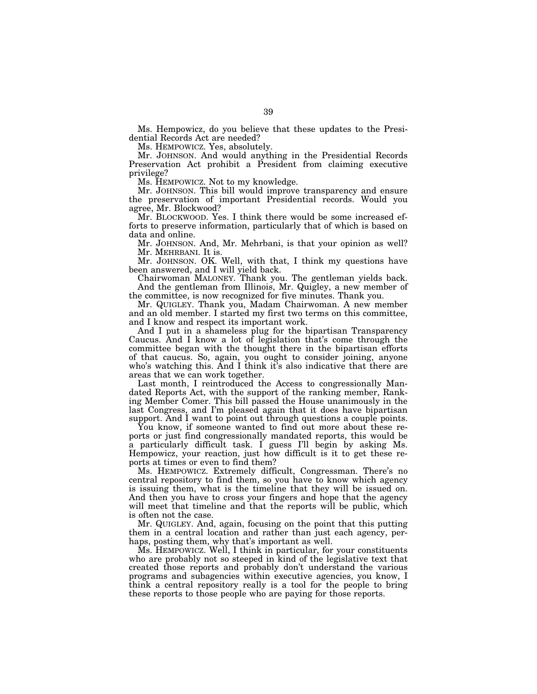Ms. Hempowicz, do you believe that these updates to the Presidential Records Act are needed?

Ms. HEMPOWICZ. Yes, absolutely.

Mr. JOHNSON. And would anything in the Presidential Records Preservation Act prohibit a President from claiming executive privilege?

Ms. HEMPOWICZ. Not to my knowledge.

Mr. JOHNSON. This bill would improve transparency and ensure the preservation of important Presidential records. Would you agree, Mr. Blockwood?

Mr. BLOCKWOOD. Yes. I think there would be some increased efforts to preserve information, particularly that of which is based on data and online.

Mr. JOHNSON. And, Mr. Mehrbani, is that your opinion as well? Mr. MEHRBANI. It is.

Mr. JOHNSON. OK. Well, with that, I think my questions have been answered, and I will yield back.

Chairwoman MALONEY. Thank you. The gentleman yields back. And the gentleman from Illinois, Mr. Quigley, a new member of the committee, is now recognized for five minutes. Thank you.

Mr. QUIGLEY. Thank you, Madam Chairwoman. A new member and an old member. I started my first two terms on this committee, and I know and respect its important work.

And I put in a shameless plug for the bipartisan Transparency Caucus. And I know a lot of legislation that's come through the committee began with the thought there in the bipartisan efforts of that caucus. So, again, you ought to consider joining, anyone who's watching this. And I think it's also indicative that there are areas that we can work together.

Last month, I reintroduced the Access to congressionally Mandated Reports Act, with the support of the ranking member, Ranking Member Comer. This bill passed the House unanimously in the last Congress, and I'm pleased again that it does have bipartisan support. And I want to point out through questions a couple points.

You know, if someone wanted to find out more about these reports or just find congressionally mandated reports, this would be a particularly difficult task. I guess I'll begin by asking Ms. Hempowicz, your reaction, just how difficult is it to get these reports at times or even to find them?

Ms. HEMPOWICZ. Extremely difficult, Congressman. There's no central repository to find them, so you have to know which agency is issuing them, what is the timeline that they will be issued on. And then you have to cross your fingers and hope that the agency will meet that timeline and that the reports will be public, which is often not the case.

Mr. QUIGLEY. And, again, focusing on the point that this putting them in a central location and rather than just each agency, perhaps, posting them, why that's important as well.

Ms. HEMPOWICZ. Well, I think in particular, for your constituents who are probably not so steeped in kind of the legislative text that created those reports and probably don't understand the various programs and subagencies within executive agencies, you know, I think a central repository really is a tool for the people to bring these reports to those people who are paying for those reports.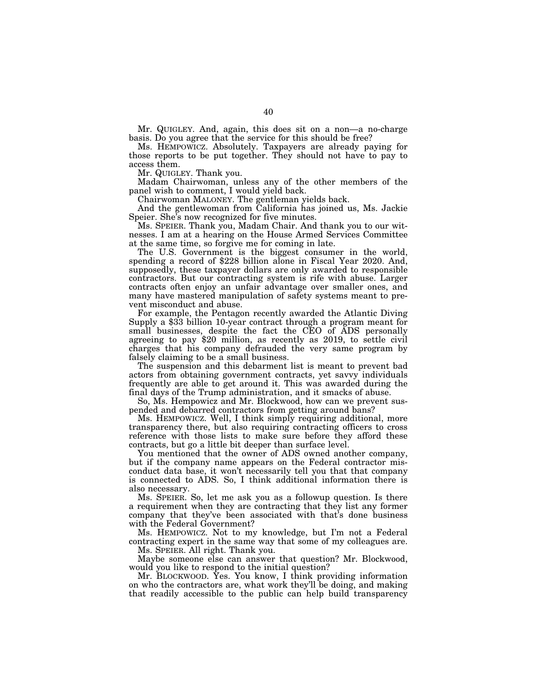Mr. QUIGLEY. And, again, this does sit on a non—a no-charge basis. Do you agree that the service for this should be free?

Ms. HEMPOWICZ. Absolutely. Taxpayers are already paying for those reports to be put together. They should not have to pay to access them.

Mr. QUIGLEY. Thank you.

Madam Chairwoman, unless any of the other members of the panel wish to comment, I would yield back.

Chairwoman MALONEY. The gentleman yields back.

And the gentlewoman from California has joined us, Ms. Jackie Speier. She's now recognized for five minutes.

Ms. SPEIER. Thank you, Madam Chair. And thank you to our witnesses. I am at a hearing on the House Armed Services Committee at the same time, so forgive me for coming in late.

The U.S. Government is the biggest consumer in the world, spending a record of \$228 billion alone in Fiscal Year 2020. And, supposedly, these taxpayer dollars are only awarded to responsible contractors. But our contracting system is rife with abuse. Larger contracts often enjoy an unfair advantage over smaller ones, and many have mastered manipulation of safety systems meant to prevent misconduct and abuse.

For example, the Pentagon recently awarded the Atlantic Diving Supply a \$33 billion 10-year contract through a program meant for small businesses, despite the fact the CEO of ADS personally agreeing to pay \$20 million, as recently as 2019, to settle civil charges that his company defrauded the very same program by falsely claiming to be a small business.

The suspension and this debarment list is meant to prevent bad actors from obtaining government contracts, yet savvy individuals frequently are able to get around it. This was awarded during the final days of the Trump administration, and it smacks of abuse.

So, Ms. Hempowicz and Mr. Blockwood, how can we prevent suspended and debarred contractors from getting around bans?

Ms. HEMPOWICZ. Well, I think simply requiring additional, more transparency there, but also requiring contracting officers to cross reference with those lists to make sure before they afford these contracts, but go a little bit deeper than surface level.

You mentioned that the owner of ADS owned another company, but if the company name appears on the Federal contractor misconduct data base, it won't necessarily tell you that that company is connected to ADS. So, I think additional information there is also necessary.

Ms. SPEIER. So, let me ask you as a followup question. Is there a requirement when they are contracting that they list any former company that they've been associated with that's done business with the Federal Government?

Ms. HEMPOWICZ. Not to my knowledge, but I'm not a Federal contracting expert in the same way that some of my colleagues are. Ms. SPEIER. All right. Thank you.

Maybe someone else can answer that question? Mr. Blockwood, would you like to respond to the initial question?

Mr. BLOCKWOOD. Yes. You know, I think providing information on who the contractors are, what work they'll be doing, and making that readily accessible to the public can help build transparency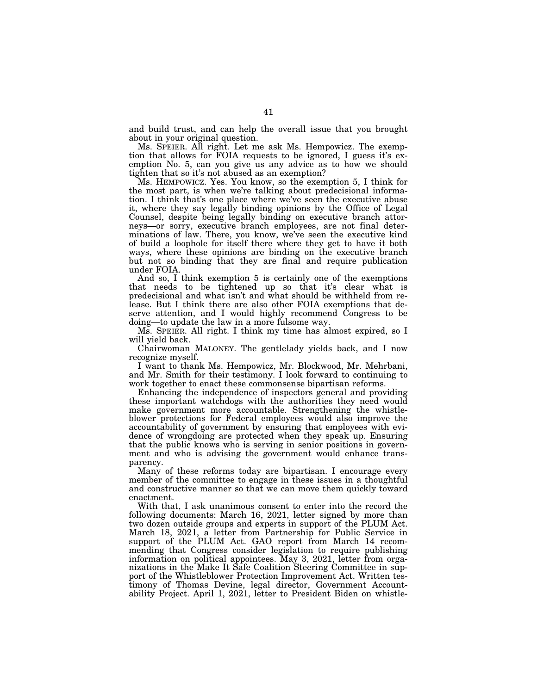and build trust, and can help the overall issue that you brought about in your original question.

Ms. SPEIER. All right. Let me ask Ms. Hempowicz. The exemption that allows for FOIA requests to be ignored, I guess it's exemption No. 5, can you give us any advice as to how we should tighten that so it's not abused as an exemption?

Ms. HEMPOWICZ. Yes. You know, so the exemption 5, I think for the most part, is when we're talking about predecisional information. I think that's one place where we've seen the executive abuse it, where they say legally binding opinions by the Office of Legal Counsel, despite being legally binding on executive branch attorneys—or sorry, executive branch employees, are not final determinations of law. There, you know, we've seen the executive kind of build a loophole for itself there where they get to have it both ways, where these opinions are binding on the executive branch but not so binding that they are final and require publication under FOIA.

And so, I think exemption 5 is certainly one of the exemptions that needs to be tightened up so that it's clear what is predecisional and what isn't and what should be withheld from release. But I think there are also other FOIA exemptions that deserve attention, and I would highly recommend Congress to be doing—to update the law in a more fulsome way.

Ms. SPEIER. All right. I think my time has almost expired, so I will yield back.

Chairwoman MALONEY. The gentlelady yields back, and I now recognize myself.

I want to thank Ms. Hempowicz, Mr. Blockwood, Mr. Mehrbani, and Mr. Smith for their testimony. I look forward to continuing to work together to enact these commonsense bipartisan reforms.

Enhancing the independence of inspectors general and providing these important watchdogs with the authorities they need would make government more accountable. Strengthening the whistleblower protections for Federal employees would also improve the accountability of government by ensuring that employees with evidence of wrongdoing are protected when they speak up. Ensuring that the public knows who is serving in senior positions in government and who is advising the government would enhance transparency.

Many of these reforms today are bipartisan. I encourage every member of the committee to engage in these issues in a thoughtful and constructive manner so that we can move them quickly toward enactment.

With that, I ask unanimous consent to enter into the record the following documents: March 16, 2021, letter signed by more than two dozen outside groups and experts in support of the PLUM Act. March 18, 2021, a letter from Partnership for Public Service in support of the PLUM Act. GAO report from March 14 recommending that Congress consider legislation to require publishing information on political appointees. May 3, 2021, letter from organizations in the Make It Safe Coalition Steering Committee in support of the Whistleblower Protection Improvement Act. Written testimony of Thomas Devine, legal director, Government Accountability Project. April 1, 2021, letter to President Biden on whistle